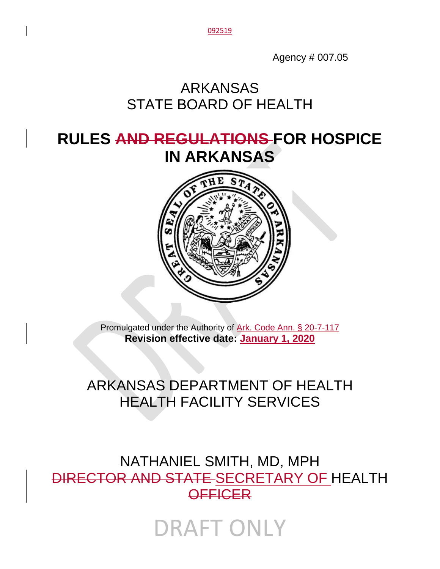092519

Agency # 007.05

# ARKANSAS STATE BOARD OF HEALTH

# **RULES AND REGULATIONS FOR HOSPICE IN ARKANSAS**



Promulgated under the Authority of Ark. Code Ann. § 20-7-117 **Revision effective date: January 1, 2020**

# ARKANSAS DEPARTMENT OF HEALTH HEALTH FACILITY SERVICES

NATHANIEL SMITH, MD, MPH DIRECTOR AND STATE SECRETARY OF HEALTH **OFFICER** 

DRAFT ONLY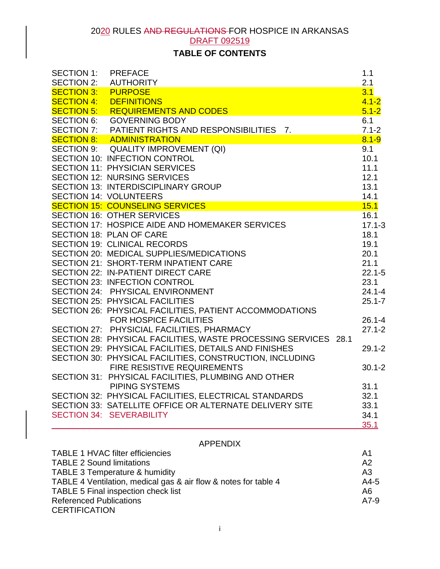# **TABLE OF CONTENTS**

| <b>SECTION 1:</b> | <b>PREFACE</b>                                                  | 1.1        |
|-------------------|-----------------------------------------------------------------|------------|
| <b>SECTION 2:</b> | <b>AUTHORITY</b>                                                | 2.1        |
| <b>SECTION 3:</b> | <b>PURPOSE</b>                                                  | 3.1        |
| <b>SECTION 4:</b> | <b>DEFINITIONS</b>                                              | $4.1 - 2$  |
| <b>SECTION 5:</b> | REQUIREMENTS AND CODES                                          | $5.1 - 2$  |
|                   | SECTION 6: GOVERNING BODY                                       | 6.1        |
|                   | SECTION 7: PATIENT RIGHTS AND RESPONSIBILITIES 7.               | $7.1 - 2$  |
|                   | <b>SECTION 8: ADMINISTRATION</b>                                | $8.1 - 9$  |
|                   | SECTION 9: QUALITY IMPROVEMENT (QI)                             | 9.1        |
|                   | SECTION 10: INFECTION CONTROL                                   | 10.1       |
|                   | <b>SECTION 11: PHYSICIAN SERVICES</b>                           | 11.1       |
|                   | SECTION 12: NURSING SERVICES                                    | 12.1       |
|                   | <b>SECTION 13: INTERDISCIPLINARY GROUP</b>                      | 13.1       |
|                   | <b>SECTION 14: VOLUNTEERS</b>                                   | 14.1       |
|                   | <b>SECTION 15: COUNSELING SERVICES</b>                          | 15.1       |
|                   | <b>SECTION 16: OTHER SERVICES</b>                               | 16.1       |
|                   | SECTION 17: HOSPICE AIDE AND HOMEMAKER SERVICES                 | $17.1 - 3$ |
|                   | <b>SECTION 18: PLAN OF CARE</b>                                 | 18.1       |
|                   | <b>SECTION 19: CLINICAL RECORDS</b>                             | 19.1       |
|                   | SECTION 20: MEDICAL SUPPLIES/MEDICATIONS                        | 20.1       |
|                   | <b>SECTION 21: SHORT-TERM INPATIENT CARE</b>                    | 21.1       |
|                   | <b>SECTION 22: IN-PATIENT DIRECT CARE</b>                       | $22.1 - 5$ |
|                   | SECTION 23: INFECTION CONTROL                                   | 23.1       |
|                   | SECTION 24: PHYSICAL ENVIRONMENT                                | $24.1 - 4$ |
|                   | <b>SECTION 25: PHYSICAL FACILITIES</b>                          | $25.1 - 7$ |
|                   | SECTION 26: PHYSICAL FACILITIES, PATIENT ACCOMMODATIONS         |            |
|                   | FOR HOSPICE FACILITIES                                          | $26.1 - 4$ |
|                   | SECTION 27: PHYSICIAL FACILITIES, PHARMACY                      | $27.1 - 2$ |
|                   | SECTION 28: PHYSICAL FACILITIES, WASTE PROCESSING SERVICES 28.1 |            |
|                   | SECTION 29: PHYSICAL FACILITIES, DETAILS AND FINISHES           | $29.1 - 2$ |
|                   | SECTION 30: PHYSICAL FACILITIES, CONSTRUCTION, INCLUDING        |            |
|                   | <b>FIRE RESISTIVE REQUIREMENTS</b>                              | $30.1 - 2$ |
|                   | SECTION 31: PHYSICAL FACILITIES, PLUMBING AND OTHER             |            |
|                   | PIPING SYSTEMS                                                  | 31.1       |
|                   | SECTION 32: PHYSICAL FACILITIES, ELECTRICAL STANDARDS           | 32.1       |
|                   | SECTION 33: SATELLITE OFFICE OR ALTERNATE DELIVERY SITE         | 33.1       |
|                   | <b>SECTION 34: SEVERABILITY</b>                                 | 34.1       |
|                   |                                                                 | 35.1       |
|                   |                                                                 |            |
|                   | <b>APPENDIX</b>                                                 |            |

| <b>TABLE 1 HVAC filter efficiencies</b>                         | A1             |
|-----------------------------------------------------------------|----------------|
| <b>TABLE 2 Sound limitations</b>                                | A2             |
| TABLE 3 Temperature & humidity                                  | A <sub>3</sub> |
| TABLE 4 Ventilation, medical gas & air flow & notes for table 4 | $A4-5$         |
| TABLE 5 Final inspection check list                             | A6             |
| <b>Referenced Publications</b>                                  | $A7-9$         |
| <b>CERTIFICATION</b>                                            |                |
|                                                                 |                |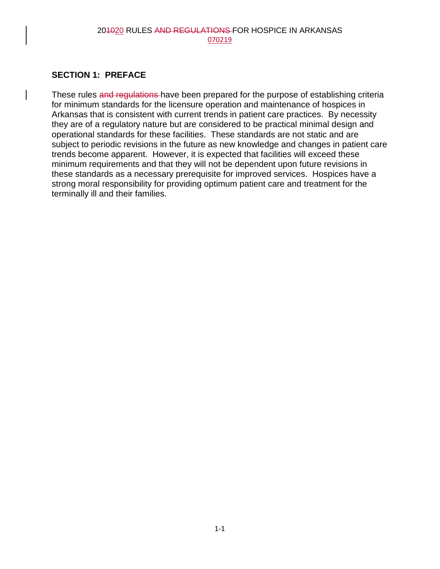### **SECTION 1: PREFACE**

These rules and regulations have been prepared for the purpose of establishing criteria for minimum standards for the licensure operation and maintenance of hospices in Arkansas that is consistent with current trends in patient care practices. By necessity they are of a regulatory nature but are considered to be practical minimal design and operational standards for these facilities. These standards are not static and are subject to periodic revisions in the future as new knowledge and changes in patient care trends become apparent. However, it is expected that facilities will exceed these minimum requirements and that they will not be dependent upon future revisions in these standards as a necessary prerequisite for improved services. Hospices have a strong moral responsibility for providing optimum patient care and treatment for the terminally ill and their families.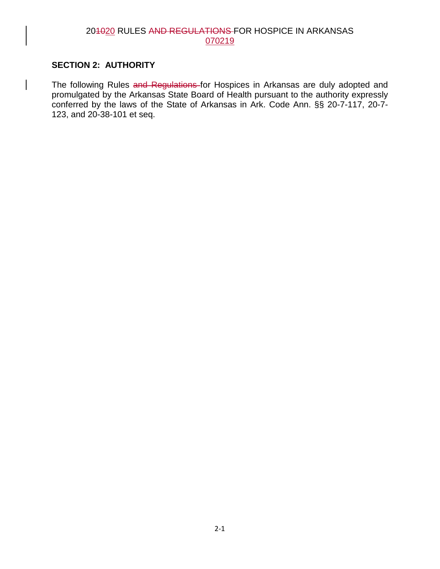#### **SECTION 2: AUTHORITY**

The following Rules and Regulations for Hospices in Arkansas are duly adopted and promulgated by the Arkansas State Board of Health pursuant to the authority expressly conferred by the laws of the State of Arkansas in Ark. Code Ann. §§ 20-7-117, 20-7- 123, and 20-38-101 et seq.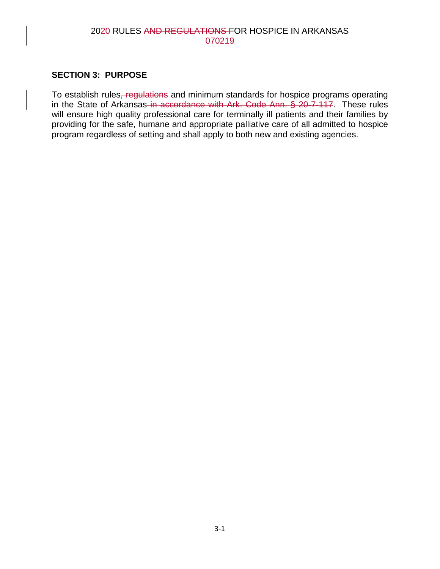#### **SECTION 3: PURPOSE**

To establish rules, regulations and minimum standards for hospice programs operating in the State of Arkansas in accordance with Ark. Code Ann. § 20-7-117. These rules will ensure high quality professional care for terminally ill patients and their families by providing for the safe, humane and appropriate palliative care of all admitted to hospice program regardless of setting and shall apply to both new and existing agencies.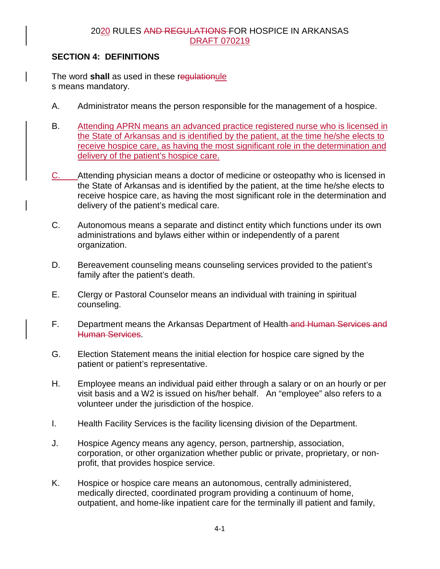# **SECTION 4: DEFINITIONS**

The word **shall** as used in these regulationule s means mandatory.

- A. Administrator means the person responsible for the management of a hospice.
- B. Attending APRN means an advanced practice registered nurse who is licensed in the State of Arkansas and is identified by the patient, at the time he/she elects to receive hospice care, as having the most significant role in the determination and delivery of the patient's hospice care.
- C. Attending physician means a doctor of medicine or osteopathy who is licensed in the State of Arkansas and is identified by the patient, at the time he/she elects to receive hospice care, as having the most significant role in the determination and delivery of the patient's medical care.
- C. Autonomous means a separate and distinct entity which functions under its own administrations and bylaws either within or independently of a parent organization.
- D. Bereavement counseling means counseling services provided to the patient's family after the patient's death.
- E. Clergy or Pastoral Counselor means an individual with training in spiritual counseling.
- F. Department means the Arkansas Department of Health-and Human Services and Human Services.
- G. Election Statement means the initial election for hospice care signed by the patient or patient's representative.
- H. Employee means an individual paid either through a salary or on an hourly or per visit basis and a W2 is issued on his/her behalf. An "employee" also refers to a volunteer under the jurisdiction of the hospice.
- I. Health Facility Services is the facility licensing division of the Department.
- J. Hospice Agency means any agency, person, partnership, association, corporation, or other organization whether public or private, proprietary, or nonprofit, that provides hospice service.
- K. Hospice or hospice care means an autonomous, centrally administered, medically directed, coordinated program providing a continuum of home, outpatient, and home-like inpatient care for the terminally ill patient and family,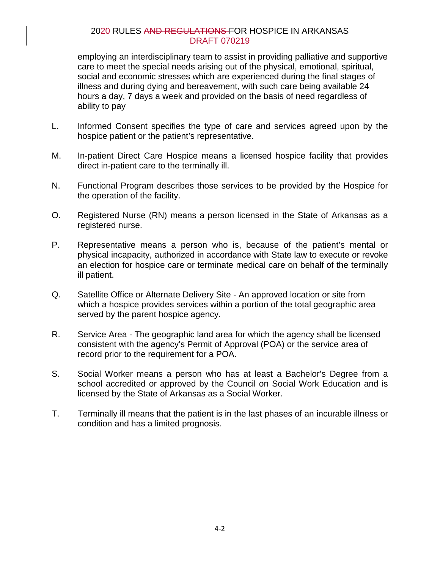employing an interdisciplinary team to assist in providing palliative and supportive care to meet the special needs arising out of the physical, emotional, spiritual, social and economic stresses which are experienced during the final stages of illness and during dying and bereavement, with such care being available 24 hours a day, 7 days a week and provided on the basis of need regardless of ability to pay

- L. Informed Consent specifies the type of care and services agreed upon by the hospice patient or the patient's representative.
- M. In-patient Direct Care Hospice means a licensed hospice facility that provides direct in-patient care to the terminally ill.
- N. Functional Program describes those services to be provided by the Hospice for the operation of the facility.
- O. Registered Nurse (RN) means a person licensed in the State of Arkansas as a registered nurse.
- P. Representative means a person who is, because of the patient's mental or physical incapacity, authorized in accordance with State law to execute or revoke an election for hospice care or terminate medical care on behalf of the terminally ill patient.
- Q. Satellite Office or Alternate Delivery Site An approved location or site from which a hospice provides services within a portion of the total geographic area served by the parent hospice agency.
- R. Service Area The geographic land area for which the agency shall be licensed consistent with the agency's Permit of Approval (POA) or the service area of record prior to the requirement for a POA.
- S. Social Worker means a person who has at least a Bachelor's Degree from a school accredited or approved by the Council on Social Work Education and is licensed by the State of Arkansas as a Social Worker.
- T. Terminally ill means that the patient is in the last phases of an incurable illness or condition and has a limited prognosis.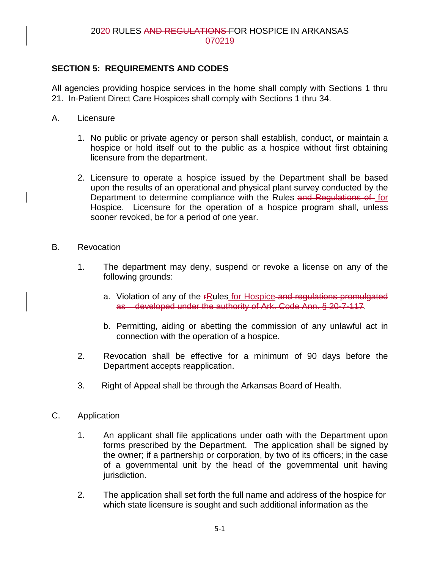# **SECTION 5: REQUIREMENTS AND CODES**

All agencies providing hospice services in the home shall comply with Sections 1 thru 21. In-Patient Direct Care Hospices shall comply with Sections 1 thru 34.

- A. Licensure
	- 1. No public or private agency or person shall establish, conduct, or maintain a hospice or hold itself out to the public as a hospice without first obtaining licensure from the department.
	- 2. Licensure to operate a hospice issued by the Department shall be based upon the results of an operational and physical plant survey conducted by the Department to determine compliance with the Rules and Regulations of for Hospice. Licensure for the operation of a hospice program shall, unless sooner revoked, be for a period of one year.
- B. Revocation
	- 1. The department may deny, suspend or revoke a license on any of the following grounds:
		- a. Violation of any of the *FRules for Hospice and regulations promulgated* as developed under the authority of Ark. Code Ann. § 20-7-117.
		- b. Permitting, aiding or abetting the commission of any unlawful act in connection with the operation of a hospice.
	- 2. Revocation shall be effective for a minimum of 90 days before the Department accepts reapplication.
	- 3. Right of Appeal shall be through the Arkansas Board of Health.
- C. Application
	- 1. An applicant shall file applications under oath with the Department upon forms prescribed by the Department. The application shall be signed by the owner; if a partnership or corporation, by two of its officers; in the case of a governmental unit by the head of the governmental unit having jurisdiction.
	- 2. The application shall set forth the full name and address of the hospice for which state licensure is sought and such additional information as the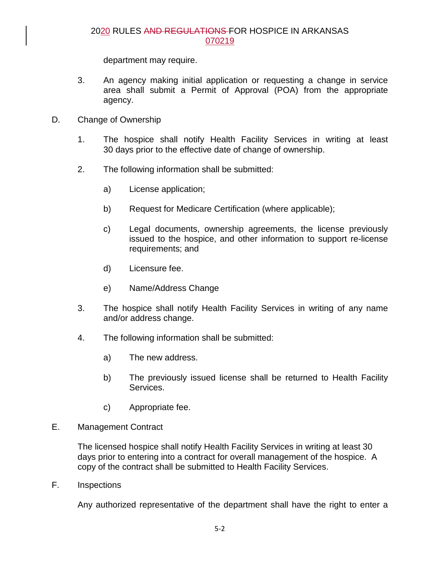department may require.

- 3. An agency making initial application or requesting a change in service area shall submit a Permit of Approval (POA) from the appropriate agency.
- D. Change of Ownership
	- 1. The hospice shall notify Health Facility Services in writing at least 30 days prior to the effective date of change of ownership.
	- 2. The following information shall be submitted:
		- a) License application;
		- b) Request for Medicare Certification (where applicable);
		- c) Legal documents, ownership agreements, the license previously issued to the hospice, and other information to support re-license requirements; and
		- d) Licensure fee.
		- e) Name/Address Change
	- 3. The hospice shall notify Health Facility Services in writing of any name and/or address change.
	- 4. The following information shall be submitted:
		- a) The new address.
		- b) The previously issued license shall be returned to Health Facility Services.
		- c) Appropriate fee.
- E. Management Contract

The licensed hospice shall notify Health Facility Services in writing at least 30 days prior to entering into a contract for overall management of the hospice. A copy of the contract shall be submitted to Health Facility Services.

F. Inspections

Any authorized representative of the department shall have the right to enter a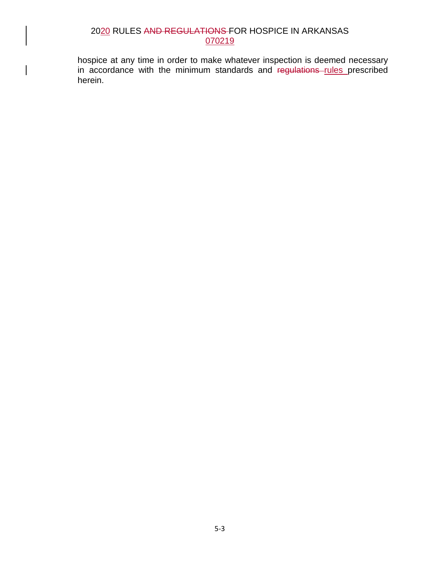hospice at any time in order to make whatever inspection is deemed necessary in accordance with the minimum standards and regulations rules prescribed herein.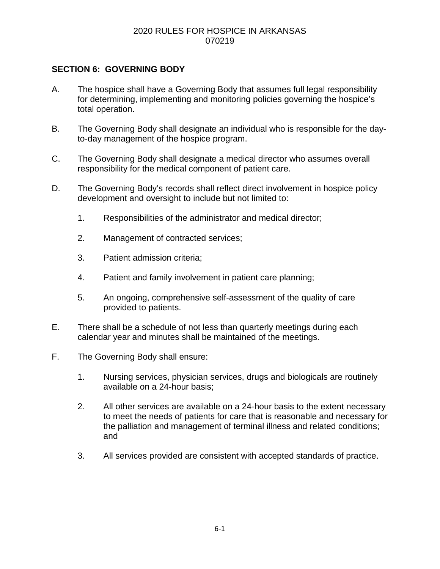# **SECTION 6: GOVERNING BODY**

- A. The hospice shall have a Governing Body that assumes full legal responsibility for determining, implementing and monitoring policies governing the hospice's total operation.
- B. The Governing Body shall designate an individual who is responsible for the dayto-day management of the hospice program.
- C. The Governing Body shall designate a medical director who assumes overall responsibility for the medical component of patient care.
- D. The Governing Body's records shall reflect direct involvement in hospice policy development and oversight to include but not limited to:
	- 1. Responsibilities of the administrator and medical director;
	- 2. Management of contracted services;
	- 3. Patient admission criteria;
	- 4. Patient and family involvement in patient care planning;
	- 5. An ongoing, comprehensive self-assessment of the quality of care provided to patients.
- E. There shall be a schedule of not less than quarterly meetings during each calendar year and minutes shall be maintained of the meetings.
- F. The Governing Body shall ensure:
	- 1. Nursing services, physician services, drugs and biologicals are routinely available on a 24-hour basis;
	- 2. All other services are available on a 24-hour basis to the extent necessary to meet the needs of patients for care that is reasonable and necessary for the palliation and management of terminal illness and related conditions; and
	- 3. All services provided are consistent with accepted standards of practice.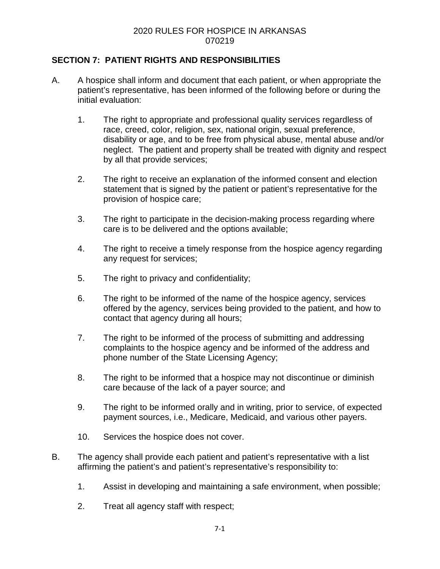# **SECTION 7: PATIENT RIGHTS AND RESPONSIBILITIES**

- A. A hospice shall inform and document that each patient, or when appropriate the patient's representative, has been informed of the following before or during the initial evaluation:
	- 1. The right to appropriate and professional quality services regardless of race, creed, color, religion, sex, national origin, sexual preference, disability or age, and to be free from physical abuse, mental abuse and/or neglect. The patient and property shall be treated with dignity and respect by all that provide services;
	- 2. The right to receive an explanation of the informed consent and election statement that is signed by the patient or patient's representative for the provision of hospice care;
	- 3. The right to participate in the decision-making process regarding where care is to be delivered and the options available;
	- 4. The right to receive a timely response from the hospice agency regarding any request for services;
	- 5. The right to privacy and confidentiality;
	- 6. The right to be informed of the name of the hospice agency, services offered by the agency, services being provided to the patient, and how to contact that agency during all hours;
	- 7. The right to be informed of the process of submitting and addressing complaints to the hospice agency and be informed of the address and phone number of the State Licensing Agency;
	- 8. The right to be informed that a hospice may not discontinue or diminish care because of the lack of a payer source; and
	- 9. The right to be informed orally and in writing, prior to service, of expected payment sources, i.e., Medicare, Medicaid, and various other payers.
	- 10. Services the hospice does not cover.
- B. The agency shall provide each patient and patient's representative with a list affirming the patient's and patient's representative's responsibility to:
	- 1. Assist in developing and maintaining a safe environment, when possible;
	- 2. Treat all agency staff with respect;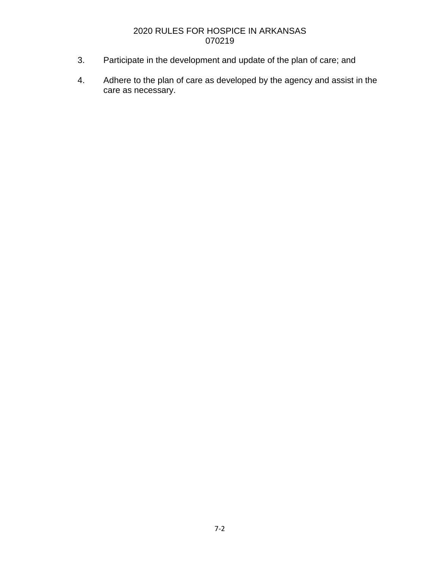- 3. Participate in the development and update of the plan of care; and
- 4. Adhere to the plan of care as developed by the agency and assist in the care as necessary.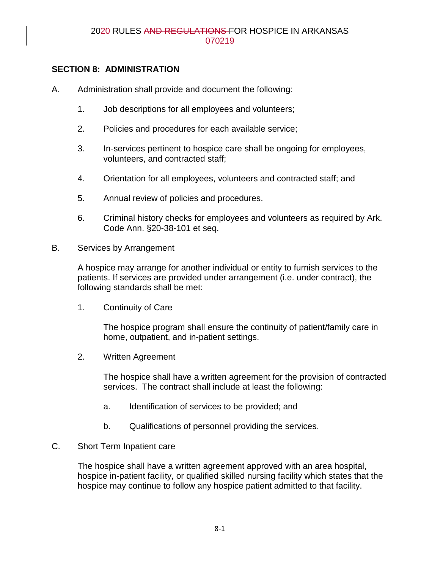# **SECTION 8: ADMINISTRATION**

- A. Administration shall provide and document the following:
	- 1. Job descriptions for all employees and volunteers;
	- 2. Policies and procedures for each available service;
	- 3. In-services pertinent to hospice care shall be ongoing for employees, volunteers, and contracted staff;
	- 4. Orientation for all employees, volunteers and contracted staff; and
	- 5. Annual review of policies and procedures.
	- 6. Criminal history checks for employees and volunteers as required by Ark. Code Ann. §20-38-101 et seq.
- B. Services by Arrangement

A hospice may arrange for another individual or entity to furnish services to the patients. If services are provided under arrangement (i.e. under contract), the following standards shall be met:

1. Continuity of Care

The hospice program shall ensure the continuity of patient/family care in home, outpatient, and in-patient settings.

2. Written Agreement

The hospice shall have a written agreement for the provision of contracted services. The contract shall include at least the following:

- a. Identification of services to be provided; and
- b. Qualifications of personnel providing the services.

### C. Short Term Inpatient care

The hospice shall have a written agreement approved with an area hospital, hospice in-patient facility, or qualified skilled nursing facility which states that the hospice may continue to follow any hospice patient admitted to that facility.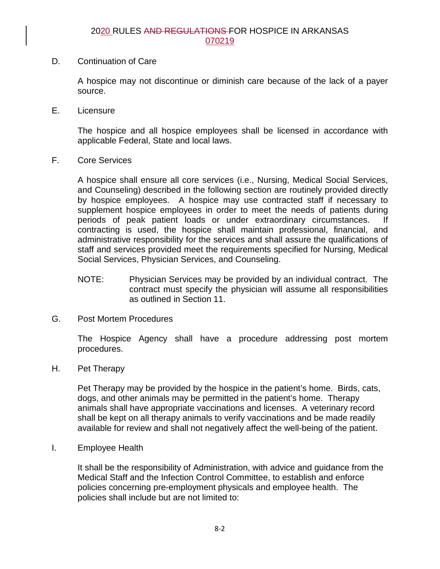D. Continuation of Care

A hospice may not discontinue or diminish care because of the lack of a payer source.

E. Licensure

The hospice and all hospice employees shall be licensed in accordance with applicable Federal, State and local laws.

F. Core Services

A hospice shall ensure all core services (i.e., Nursing, Medical Social Services, and Counseling) described in the following section are routinely provided directly by hospice employees. A hospice may use contracted staff if necessary to supplement hospice employees in order to meet the needs of patients during periods of peak patient loads or under extraordinary circumstances. If contracting is used, the hospice shall maintain professional, financial, and administrative responsibility for the services and shall assure the qualifications of staff and services provided meet the requirements specified for Nursing, Medical Social Services, Physician Services, and Counseling.

- NOTE: Physician Services may be provided by an individual contract. The contract must specify the physician will assume all responsibilities as outlined in Section 11.
- G. Post Mortem Procedures

The Hospice Agency shall have a procedure addressing post mortem procedures.

H. Pet Therapy

Pet Therapy may be provided by the hospice in the patient's home. Birds, cats, dogs, and other animals may be permitted in the patient's home. Therapy animals shall have appropriate vaccinations and licenses. A veterinary record shall be kept on all therapy animals to verify vaccinations and be made readily available for review and shall not negatively affect the well-being of the patient.

I. Employee Health

It shall be the responsibility of Administration, with advice and guidance from the Medical Staff and the Infection Control Committee, to establish and enforce policies concerning pre-employment physicals and employee health. The policies shall include but are not limited to: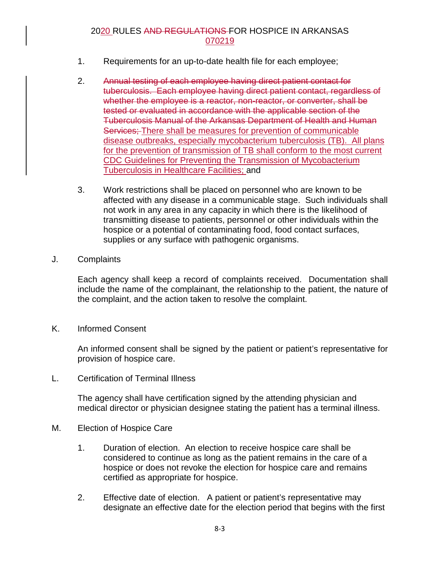- 1. Requirements for an up-to-date health file for each employee;
- 2. Annual testing of each employee having direct patient contact for tuberculosis. Each employee having direct patient contact, regardless of whether the employee is a reactor, non-reactor, or converter, shall be tested or evaluated in accordance with the applicable section of the Tuberculosis Manual of the Arkansas Department of Health and Human Services; There shall be measures for prevention of communicable disease outbreaks, especially mycobacterium tuberculosis (TB). All plans for the prevention of transmission of TB shall conform to the most current CDC Guidelines for Preventing the Transmission of Mycobacterium Tuberculosis in Healthcare Facilities; and
- 3. Work restrictions shall be placed on personnel who are known to be affected with any disease in a communicable stage. Such individuals shall not work in any area in any capacity in which there is the likelihood of transmitting disease to patients, personnel or other individuals within the hospice or a potential of contaminating food, food contact surfaces, supplies or any surface with pathogenic organisms.
- J. Complaints

Each agency shall keep a record of complaints received. Documentation shall include the name of the complainant, the relationship to the patient, the nature of the complaint, and the action taken to resolve the complaint.

K. Informed Consent

An informed consent shall be signed by the patient or patient's representative for provision of hospice care.

L. Certification of Terminal Illness

The agency shall have certification signed by the attending physician and medical director or physician designee stating the patient has a terminal illness.

- M. Election of Hospice Care
	- 1. Duration of election. An election to receive hospice care shall be considered to continue as long as the patient remains in the care of a hospice or does not revoke the election for hospice care and remains certified as appropriate for hospice.
	- 2. Effective date of election. A patient or patient's representative may designate an effective date for the election period that begins with the first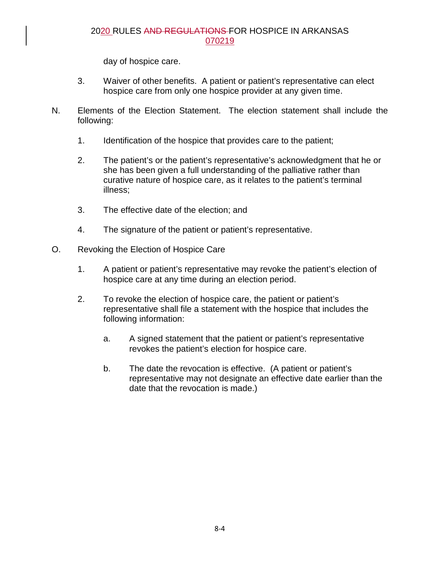day of hospice care.

- 3. Waiver of other benefits. A patient or patient's representative can elect hospice care from only one hospice provider at any given time.
- N. Elements of the Election Statement. The election statement shall include the following:
	- 1. Identification of the hospice that provides care to the patient;
	- 2. The patient's or the patient's representative's acknowledgment that he or she has been given a full understanding of the palliative rather than curative nature of hospice care, as it relates to the patient's terminal illness;
	- 3. The effective date of the election; and
	- 4. The signature of the patient or patient's representative.
- O. Revoking the Election of Hospice Care
	- 1. A patient or patient's representative may revoke the patient's election of hospice care at any time during an election period.
	- 2. To revoke the election of hospice care, the patient or patient's representative shall file a statement with the hospice that includes the following information:
		- a. A signed statement that the patient or patient's representative revokes the patient's election for hospice care.
		- b. The date the revocation is effective. (A patient or patient's representative may not designate an effective date earlier than the date that the revocation is made.)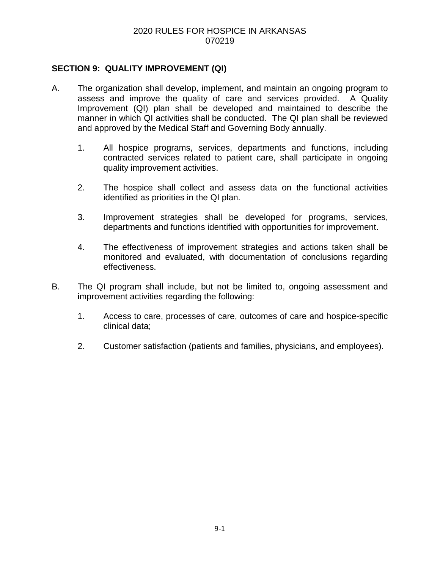# **SECTION 9: QUALITY IMPROVEMENT (QI)**

- A. The organization shall develop, implement, and maintain an ongoing program to assess and improve the quality of care and services provided. A Quality Improvement (QI) plan shall be developed and maintained to describe the manner in which QI activities shall be conducted. The QI plan shall be reviewed and approved by the Medical Staff and Governing Body annually.
	- 1. All hospice programs, services, departments and functions, including contracted services related to patient care, shall participate in ongoing quality improvement activities.
	- 2. The hospice shall collect and assess data on the functional activities identified as priorities in the QI plan.
	- 3. Improvement strategies shall be developed for programs, services, departments and functions identified with opportunities for improvement.
	- 4. The effectiveness of improvement strategies and actions taken shall be monitored and evaluated, with documentation of conclusions regarding effectiveness.
- B. The QI program shall include, but not be limited to, ongoing assessment and improvement activities regarding the following:
	- 1. Access to care, processes of care, outcomes of care and hospice-specific clinical data;
	- 2. Customer satisfaction (patients and families, physicians, and employees).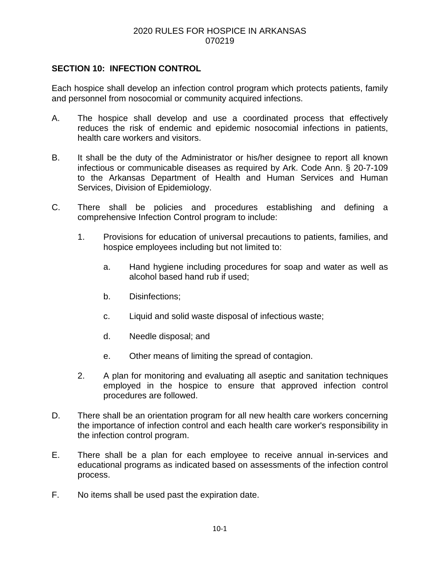# **SECTION 10: INFECTION CONTROL**

Each hospice shall develop an infection control program which protects patients, family and personnel from nosocomial or community acquired infections.

- A. The hospice shall develop and use a coordinated process that effectively reduces the risk of endemic and epidemic nosocomial infections in patients, health care workers and visitors.
- B. It shall be the duty of the Administrator or his/her designee to report all known infectious or communicable diseases as required by Ark. Code Ann. § 20-7-109 to the Arkansas Department of Health and Human Services and Human Services, Division of Epidemiology.
- C. There shall be policies and procedures establishing and defining a comprehensive Infection Control program to include:
	- 1. Provisions for education of universal precautions to patients, families, and hospice employees including but not limited to:
		- a. Hand hygiene including procedures for soap and water as well as alcohol based hand rub if used;
		- b. Disinfections;
		- c. Liquid and solid waste disposal of infectious waste;
		- d. Needle disposal; and
		- e. Other means of limiting the spread of contagion.
	- 2. A plan for monitoring and evaluating all aseptic and sanitation techniques employed in the hospice to ensure that approved infection control procedures are followed.
- D. There shall be an orientation program for all new health care workers concerning the importance of infection control and each health care worker's responsibility in the infection control program.
- E. There shall be a plan for each employee to receive annual in-services and educational programs as indicated based on assessments of the infection control process.
- F. No items shall be used past the expiration date.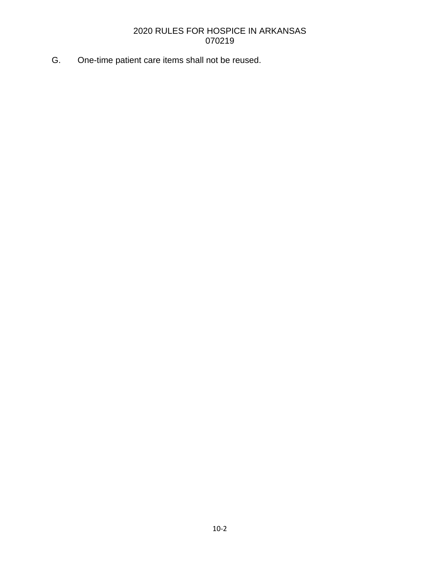G. One-time patient care items shall not be reused.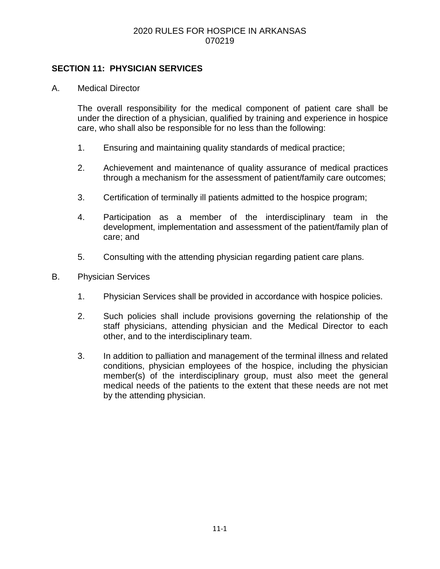# **SECTION 11: PHYSICIAN SERVICES**

A. Medical Director

The overall responsibility for the medical component of patient care shall be under the direction of a physician, qualified by training and experience in hospice care, who shall also be responsible for no less than the following:

- 1. Ensuring and maintaining quality standards of medical practice;
- 2. Achievement and maintenance of quality assurance of medical practices through a mechanism for the assessment of patient/family care outcomes;
- 3. Certification of terminally ill patients admitted to the hospice program;
- 4. Participation as a member of the interdisciplinary team in the development, implementation and assessment of the patient/family plan of care; and
- 5. Consulting with the attending physician regarding patient care plans.
- B. Physician Services
	- 1. Physician Services shall be provided in accordance with hospice policies.
	- 2. Such policies shall include provisions governing the relationship of the staff physicians, attending physician and the Medical Director to each other, and to the interdisciplinary team.
	- 3. In addition to palliation and management of the terminal illness and related conditions, physician employees of the hospice, including the physician member(s) of the interdisciplinary group, must also meet the general medical needs of the patients to the extent that these needs are not met by the attending physician.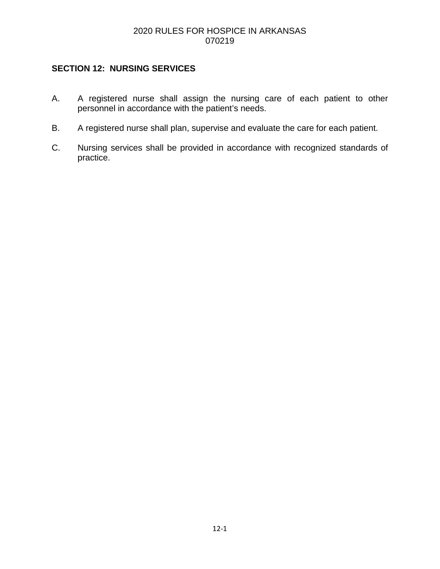# **SECTION 12: NURSING SERVICES**

- A. A registered nurse shall assign the nursing care of each patient to other personnel in accordance with the patient's needs.
- B. A registered nurse shall plan, supervise and evaluate the care for each patient.
- C. Nursing services shall be provided in accordance with recognized standards of practice.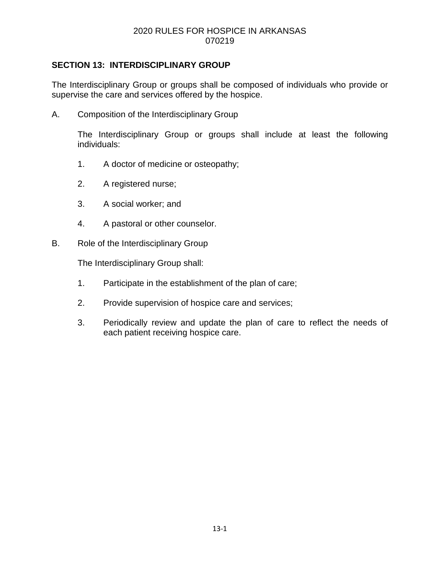# **SECTION 13: INTERDISCIPLINARY GROUP**

The Interdisciplinary Group or groups shall be composed of individuals who provide or supervise the care and services offered by the hospice.

A. Composition of the Interdisciplinary Group

The Interdisciplinary Group or groups shall include at least the following individuals:

- 1. A doctor of medicine or osteopathy;
- 2. A registered nurse;
- 3. A social worker; and
- 4. A pastoral or other counselor.
- B. Role of the Interdisciplinary Group

The Interdisciplinary Group shall:

- 1. Participate in the establishment of the plan of care;
- 2. Provide supervision of hospice care and services;
- 3. Periodically review and update the plan of care to reflect the needs of each patient receiving hospice care.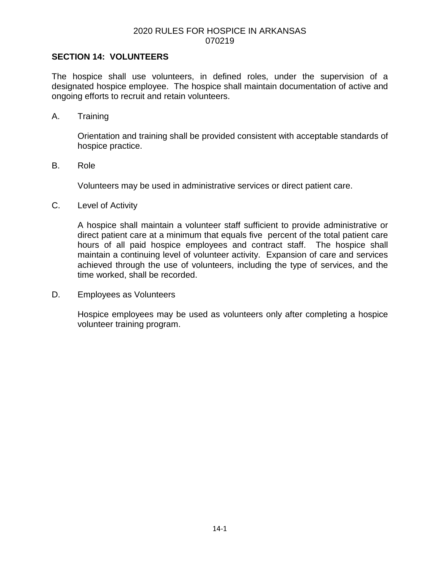#### **SECTION 14: VOLUNTEERS**

The hospice shall use volunteers, in defined roles, under the supervision of a designated hospice employee. The hospice shall maintain documentation of active and ongoing efforts to recruit and retain volunteers.

A. Training

Orientation and training shall be provided consistent with acceptable standards of hospice practice.

B. Role

Volunteers may be used in administrative services or direct patient care.

C. Level of Activity

A hospice shall maintain a volunteer staff sufficient to provide administrative or direct patient care at a minimum that equals five percent of the total patient care hours of all paid hospice employees and contract staff. The hospice shall maintain a continuing level of volunteer activity. Expansion of care and services achieved through the use of volunteers, including the type of services, and the time worked, shall be recorded.

D. Employees as Volunteers

Hospice employees may be used as volunteers only after completing a hospice volunteer training program.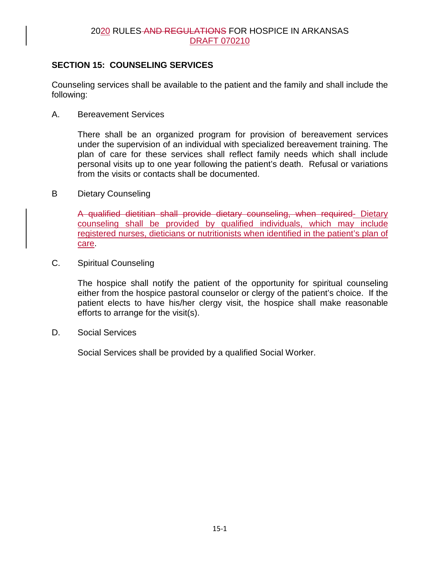# **SECTION 15: COUNSELING SERVICES**

Counseling services shall be available to the patient and the family and shall include the following:

A. Bereavement Services

There shall be an organized program for provision of bereavement services under the supervision of an individual with specialized bereavement training. The plan of care for these services shall reflect family needs which shall include personal visits up to one year following the patient's death. Refusal or variations from the visits or contacts shall be documented.

B Dietary Counseling

A qualified dietitian shall provide dietary counseling, when required- Dietary counseling shall be provided by qualified individuals, which may include registered nurses, dieticians or nutritionists when identified in the patient's plan of care.

C. Spiritual Counseling

The hospice shall notify the patient of the opportunity for spiritual counseling either from the hospice pastoral counselor or clergy of the patient's choice. If the patient elects to have his/her clergy visit, the hospice shall make reasonable efforts to arrange for the visit(s).

D. Social Services

Social Services shall be provided by a qualified Social Worker.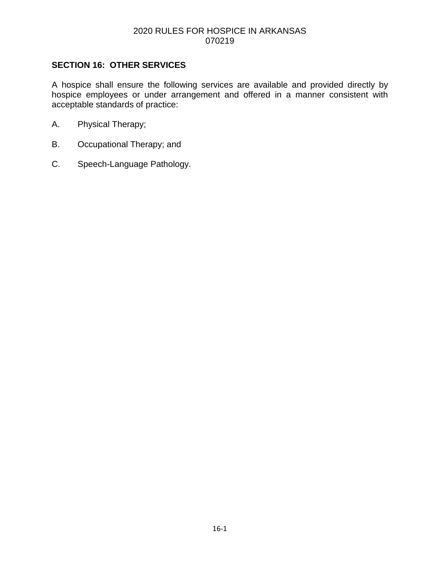# **SECTION 16: OTHER SERVICES**

A hospice shall ensure the following services are available and provided directly by hospice employees or under arrangement and offered in a manner consistent with acceptable standards of practice:

- A. Physical Therapy;
- B. Occupational Therapy; and
- C. Speech-Language Pathology.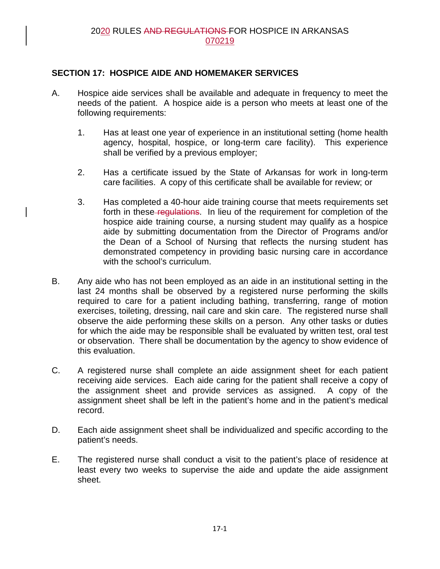# **SECTION 17: HOSPICE AIDE AND HOMEMAKER SERVICES**

- A. Hospice aide services shall be available and adequate in frequency to meet the needs of the patient. A hospice aide is a person who meets at least one of the following requirements:
	- 1. Has at least one year of experience in an institutional setting (home health agency, hospital, hospice, or long-term care facility). This experience shall be verified by a previous employer;
	- 2. Has a certificate issued by the State of Arkansas for work in long-term care facilities. A copy of this certificate shall be available for review; or
	- 3. Has completed a 40-hour aide training course that meets requirements set forth in these-regulations. In lieu of the requirement for completion of the hospice aide training course, a nursing student may qualify as a hospice aide by submitting documentation from the Director of Programs and/or the Dean of a School of Nursing that reflects the nursing student has demonstrated competency in providing basic nursing care in accordance with the school's curriculum.
- B. Any aide who has not been employed as an aide in an institutional setting in the last 24 months shall be observed by a registered nurse performing the skills required to care for a patient including bathing, transferring, range of motion exercises, toileting, dressing, nail care and skin care. The registered nurse shall observe the aide performing these skills on a person. Any other tasks or duties for which the aide may be responsible shall be evaluated by written test, oral test or observation. There shall be documentation by the agency to show evidence of this evaluation.
- C. A registered nurse shall complete an aide assignment sheet for each patient receiving aide services. Each aide caring for the patient shall receive a copy of the assignment sheet and provide services as assigned. A copy of the assignment sheet shall be left in the patient's home and in the patient's medical record.
- D. Each aide assignment sheet shall be individualized and specific according to the patient's needs.
- E. The registered nurse shall conduct a visit to the patient's place of residence at least every two weeks to supervise the aide and update the aide assignment sheet.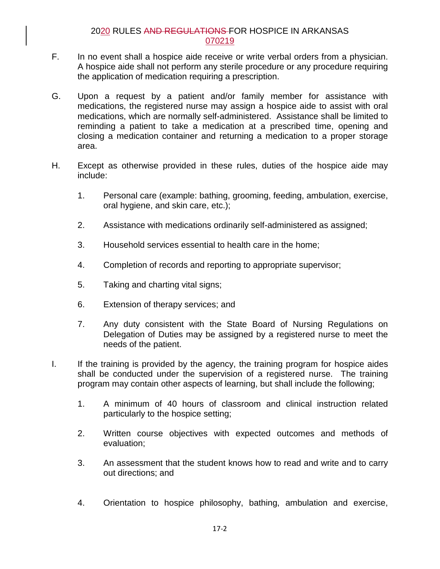- F. In no event shall a hospice aide receive or write verbal orders from a physician. A hospice aide shall not perform any sterile procedure or any procedure requiring the application of medication requiring a prescription.
- G. Upon a request by a patient and/or family member for assistance with medications, the registered nurse may assign a hospice aide to assist with oral medications, which are normally self-administered. Assistance shall be limited to reminding a patient to take a medication at a prescribed time, opening and closing a medication container and returning a medication to a proper storage area.
- H. Except as otherwise provided in these rules, duties of the hospice aide may include:
	- 1. Personal care (example: bathing, grooming, feeding, ambulation, exercise, oral hygiene, and skin care, etc.);
	- 2. Assistance with medications ordinarily self-administered as assigned;
	- 3. Household services essential to health care in the home;
	- 4. Completion of records and reporting to appropriate supervisor;
	- 5. Taking and charting vital signs;
	- 6. Extension of therapy services; and
	- 7. Any duty consistent with the State Board of Nursing Regulations on Delegation of Duties may be assigned by a registered nurse to meet the needs of the patient.
- I. If the training is provided by the agency, the training program for hospice aides shall be conducted under the supervision of a registered nurse. The training program may contain other aspects of learning, but shall include the following;
	- 1. A minimum of 40 hours of classroom and clinical instruction related particularly to the hospice setting;
	- 2. Written course objectives with expected outcomes and methods of evaluation;
	- 3. An assessment that the student knows how to read and write and to carry out directions; and
	- 4. Orientation to hospice philosophy, bathing, ambulation and exercise,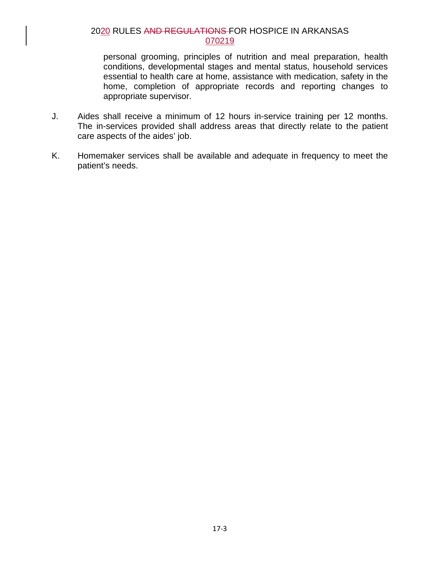personal grooming, principles of nutrition and meal preparation, health conditions, developmental stages and mental status, household services essential to health care at home, assistance with medication, safety in the home, completion of appropriate records and reporting changes to appropriate supervisor.

- J. Aides shall receive a minimum of 12 hours in-service training per 12 months. The in-services provided shall address areas that directly relate to the patient care aspects of the aides' job.
- K. Homemaker services shall be available and adequate in frequency to meet the patient's needs.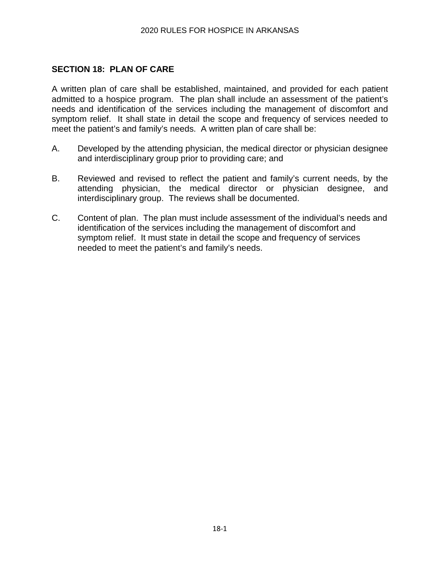# **SECTION 18: PLAN OF CARE**

A written plan of care shall be established, maintained, and provided for each patient admitted to a hospice program. The plan shall include an assessment of the patient's needs and identification of the services including the management of discomfort and symptom relief. It shall state in detail the scope and frequency of services needed to meet the patient's and family's needs. A written plan of care shall be:

- A. Developed by the attending physician, the medical director or physician designee and interdisciplinary group prior to providing care; and
- B. Reviewed and revised to reflect the patient and family's current needs, by the attending physician, the medical director or physician designee, and interdisciplinary group. The reviews shall be documented.
- C. Content of plan. The plan must include assessment of the individual's needs and identification of the services including the management of discomfort and symptom relief. It must state in detail the scope and frequency of services needed to meet the patient's and family's needs.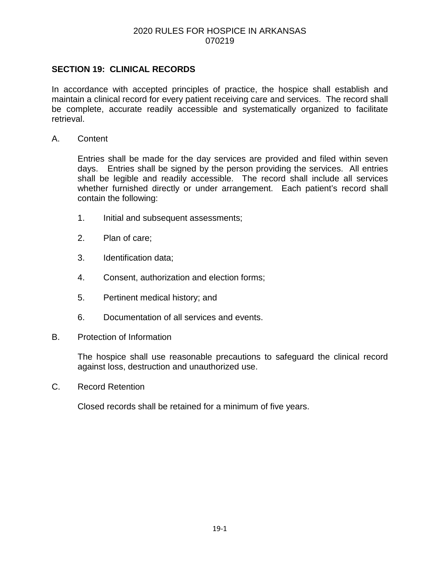# **SECTION 19: CLINICAL RECORDS**

In accordance with accepted principles of practice, the hospice shall establish and maintain a clinical record for every patient receiving care and services. The record shall be complete, accurate readily accessible and systematically organized to facilitate retrieval.

A. Content

Entries shall be made for the day services are provided and filed within seven days. Entries shall be signed by the person providing the services. All entries shall be legible and readily accessible. The record shall include all services whether furnished directly or under arrangement. Each patient's record shall contain the following:

- 1. Initial and subsequent assessments;
- 2. Plan of care;
- 3. Identification data;
- 4. Consent, authorization and election forms;
- 5. Pertinent medical history; and
- 6. Documentation of all services and events.
- B. Protection of Information

The hospice shall use reasonable precautions to safeguard the clinical record against loss, destruction and unauthorized use.

C. Record Retention

Closed records shall be retained for a minimum of five years.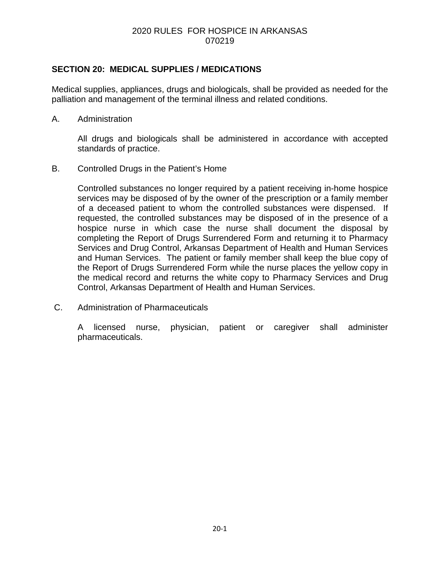# **SECTION 20: MEDICAL SUPPLIES / MEDICATIONS**

Medical supplies, appliances, drugs and biologicals, shall be provided as needed for the palliation and management of the terminal illness and related conditions.

A. Administration

All drugs and biologicals shall be administered in accordance with accepted standards of practice.

B. Controlled Drugs in the Patient's Home

Controlled substances no longer required by a patient receiving in-home hospice services may be disposed of by the owner of the prescription or a family member of a deceased patient to whom the controlled substances were dispensed. If requested, the controlled substances may be disposed of in the presence of a hospice nurse in which case the nurse shall document the disposal by completing the Report of Drugs Surrendered Form and returning it to Pharmacy Services and Drug Control, Arkansas Department of Health and Human Services and Human Services. The patient or family member shall keep the blue copy of the Report of Drugs Surrendered Form while the nurse places the yellow copy in the medical record and returns the white copy to Pharmacy Services and Drug Control, Arkansas Department of Health and Human Services.

C. Administration of Pharmaceuticals

A licensed nurse, physician, patient or caregiver shall administer pharmaceuticals.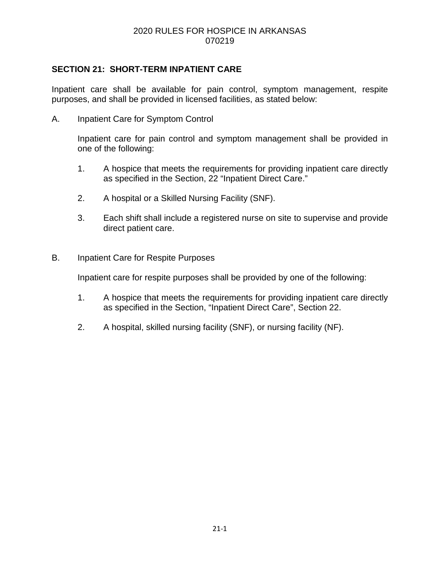# **SECTION 21: SHORT-TERM INPATIENT CARE**

Inpatient care shall be available for pain control, symptom management, respite purposes, and shall be provided in licensed facilities, as stated below:

A. Inpatient Care for Symptom Control

Inpatient care for pain control and symptom management shall be provided in one of the following:

- 1. A hospice that meets the requirements for providing inpatient care directly as specified in the Section, 22 "Inpatient Direct Care."
- 2. A hospital or a Skilled Nursing Facility (SNF).
- 3. Each shift shall include a registered nurse on site to supervise and provide direct patient care.
- B. Inpatient Care for Respite Purposes

Inpatient care for respite purposes shall be provided by one of the following:

- 1. A hospice that meets the requirements for providing inpatient care directly as specified in the Section, "Inpatient Direct Care", Section 22.
- 2. A hospital, skilled nursing facility (SNF), or nursing facility (NF).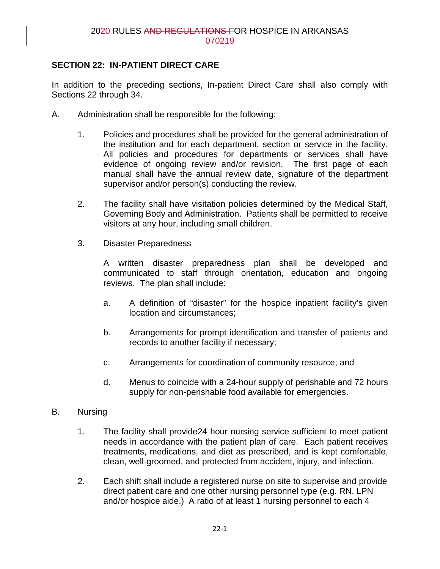# **SECTION 22: IN-PATIENT DIRECT CARE**

In addition to the preceding sections, In-patient Direct Care shall also comply with Sections 22 through 34.

- A. Administration shall be responsible for the following:
	- 1. Policies and procedures shall be provided for the general administration of the institution and for each department, section or service in the facility. All policies and procedures for departments or services shall have evidence of ongoing review and/or revision. The first page of each manual shall have the annual review date, signature of the department supervisor and/or person(s) conducting the review.
	- 2. The facility shall have visitation policies determined by the Medical Staff, Governing Body and Administration. Patients shall be permitted to receive visitors at any hour, including small children.
	- 3. Disaster Preparedness

A written disaster preparedness plan shall be developed and communicated to staff through orientation, education and ongoing reviews. The plan shall include:

- a. A definition of "disaster" for the hospice inpatient facility's given location and circumstances;
- b. Arrangements for prompt identification and transfer of patients and records to another facility if necessary;
- c. Arrangements for coordination of community resource; and
- d. Menus to coincide with a 24-hour supply of perishable and 72 hours supply for non-perishable food available for emergencies.
- B. Nursing
	- 1. The facility shall provide24 hour nursing service sufficient to meet patient needs in accordance with the patient plan of care. Each patient receives treatments, medications, and diet as prescribed, and is kept comfortable, clean, well-groomed, and protected from accident, injury, and infection.
	- 2. Each shift shall include a registered nurse on site to supervise and provide direct patient care and one other nursing personnel type (e.g. RN, LPN and/or hospice aide.) A ratio of at least 1 nursing personnel to each 4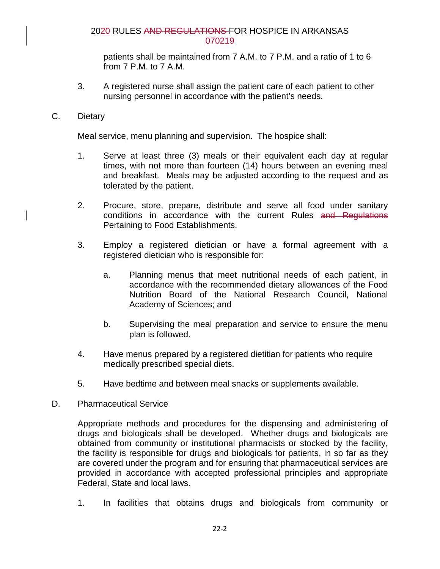patients shall be maintained from 7 A.M. to 7 P.M. and a ratio of 1 to 6 from 7 P.M. to 7 A.M.

3. A registered nurse shall assign the patient care of each patient to other nursing personnel in accordance with the patient's needs.

### C. Dietary

Meal service, menu planning and supervision. The hospice shall:

- 1. Serve at least three (3) meals or their equivalent each day at regular times, with not more than fourteen (14) hours between an evening meal and breakfast. Meals may be adjusted according to the request and as tolerated by the patient.
- 2. Procure, store, prepare, distribute and serve all food under sanitary conditions in accordance with the current Rules and Regulations Pertaining to Food Establishments.
- 3. Employ a registered dietician or have a formal agreement with a registered dietician who is responsible for:
	- a. Planning menus that meet nutritional needs of each patient, in accordance with the recommended dietary allowances of the Food Nutrition Board of the National Research Council, National Academy of Sciences; and
	- b. Supervising the meal preparation and service to ensure the menu plan is followed.
- 4. Have menus prepared by a registered dietitian for patients who require medically prescribed special diets.
- 5. Have bedtime and between meal snacks or supplements available.
- D. Pharmaceutical Service

Appropriate methods and procedures for the dispensing and administering of drugs and biologicals shall be developed. Whether drugs and biologicals are obtained from community or institutional pharmacists or stocked by the facility, the facility is responsible for drugs and biologicals for patients, in so far as they are covered under the program and for ensuring that pharmaceutical services are provided in accordance with accepted professional principles and appropriate Federal, State and local laws.

1. In facilities that obtains drugs and biologicals from community or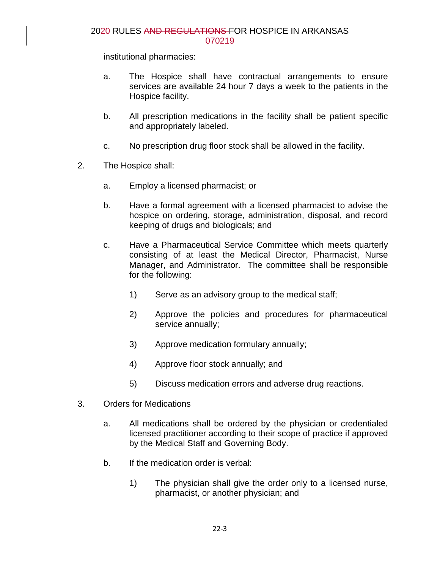institutional pharmacies:

- a. The Hospice shall have contractual arrangements to ensure services are available 24 hour 7 days a week to the patients in the Hospice facility.
- b. All prescription medications in the facility shall be patient specific and appropriately labeled.
- c. No prescription drug floor stock shall be allowed in the facility.
- 2. The Hospice shall:
	- a. Employ a licensed pharmacist; or
	- b. Have a formal agreement with a licensed pharmacist to advise the hospice on ordering, storage, administration, disposal, and record keeping of drugs and biologicals; and
	- c. Have a Pharmaceutical Service Committee which meets quarterly consisting of at least the Medical Director, Pharmacist, Nurse Manager, and Administrator. The committee shall be responsible for the following:
		- 1) Serve as an advisory group to the medical staff;
		- 2) Approve the policies and procedures for pharmaceutical service annually;
		- 3) Approve medication formulary annually;
		- 4) Approve floor stock annually; and
		- 5) Discuss medication errors and adverse drug reactions.
- 3. Orders for Medications
	- a. All medications shall be ordered by the physician or credentialed licensed practitioner according to their scope of practice if approved by the Medical Staff and Governing Body.
	- b. If the medication order is verbal:
		- 1) The physician shall give the order only to a licensed nurse, pharmacist, or another physician; and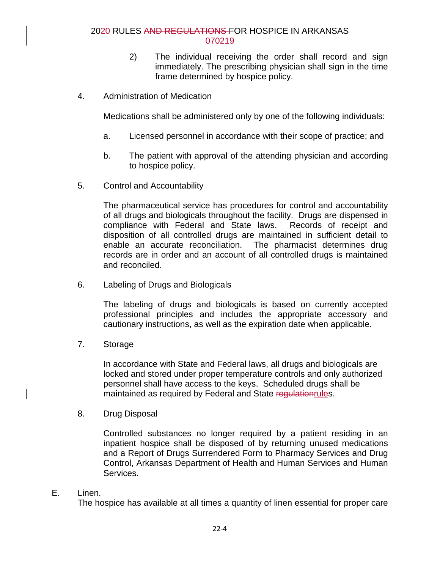- 2) The individual receiving the order shall record and sign immediately. The prescribing physician shall sign in the time frame determined by hospice policy.
- 4. Administration of Medication

Medications shall be administered only by one of the following individuals:

- a. Licensed personnel in accordance with their scope of practice; and
- b. The patient with approval of the attending physician and according to hospice policy.
- 5. Control and Accountability

The pharmaceutical service has procedures for control and accountability of all drugs and biologicals throughout the facility. Drugs are dispensed in compliance with Federal and State laws. Records of receipt and disposition of all controlled drugs are maintained in sufficient detail to enable an accurate reconciliation. The pharmacist determines drug records are in order and an account of all controlled drugs is maintained and reconciled.

6. Labeling of Drugs and Biologicals

The labeling of drugs and biologicals is based on currently accepted professional principles and includes the appropriate accessory and cautionary instructions, as well as the expiration date when applicable.

7. Storage

In accordance with State and Federal laws, all drugs and biologicals are locked and stored under proper temperature controls and only authorized personnel shall have access to the keys. Scheduled drugs shall be maintained as required by Federal and State regulationrules.

8. Drug Disposal

Controlled substances no longer required by a patient residing in an inpatient hospice shall be disposed of by returning unused medications and a Report of Drugs Surrendered Form to Pharmacy Services and Drug Control, Arkansas Department of Health and Human Services and Human Services.

E. Linen.

The hospice has available at all times a quantity of linen essential for proper care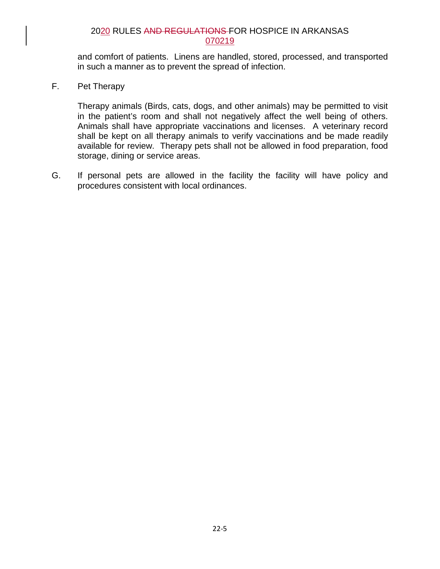and comfort of patients. Linens are handled, stored, processed, and transported in such a manner as to prevent the spread of infection.

F. Pet Therapy

Therapy animals (Birds, cats, dogs, and other animals) may be permitted to visit in the patient's room and shall not negatively affect the well being of others. Animals shall have appropriate vaccinations and licenses. A veterinary record shall be kept on all therapy animals to verify vaccinations and be made readily available for review. Therapy pets shall not be allowed in food preparation, food storage, dining or service areas.

G. If personal pets are allowed in the facility the facility will have policy and procedures consistent with local ordinances.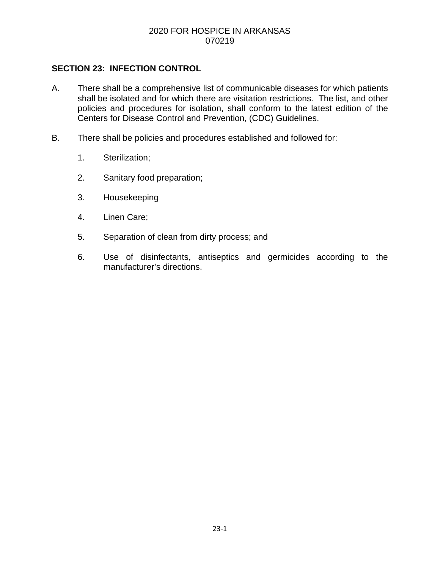#### 2020 FOR HOSPICE IN ARKANSAS 070219

### **SECTION 23: INFECTION CONTROL**

- A. There shall be a comprehensive list of communicable diseases for which patients shall be isolated and for which there are visitation restrictions. The list, and other policies and procedures for isolation, shall conform to the latest edition of the Centers for Disease Control and Prevention, (CDC) Guidelines.
- B. There shall be policies and procedures established and followed for:
	- 1. Sterilization;
	- 2. Sanitary food preparation;
	- 3. Housekeeping
	- 4. Linen Care;
	- 5. Separation of clean from dirty process; and
	- 6. Use of disinfectants, antiseptics and germicides according to the manufacturer's directions.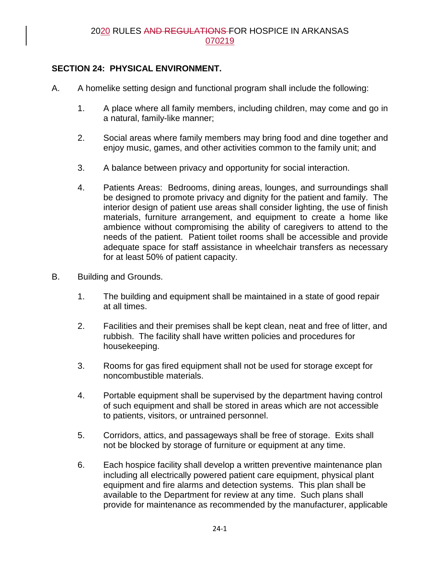## **SECTION 24: PHYSICAL ENVIRONMENT.**

- A. A homelike setting design and functional program shall include the following:
	- 1. A place where all family members, including children, may come and go in a natural, family-like manner;
	- 2. Social areas where family members may bring food and dine together and enjoy music, games, and other activities common to the family unit; and
	- 3. A balance between privacy and opportunity for social interaction.
	- 4. Patients Areas: Bedrooms, dining areas, lounges, and surroundings shall be designed to promote privacy and dignity for the patient and family. The interior design of patient use areas shall consider lighting, the use of finish materials, furniture arrangement, and equipment to create a home like ambience without compromising the ability of caregivers to attend to the needs of the patient. Patient toilet rooms shall be accessible and provide adequate space for staff assistance in wheelchair transfers as necessary for at least 50% of patient capacity.
- B. Building and Grounds.
	- 1. The building and equipment shall be maintained in a state of good repair at all times.
	- 2. Facilities and their premises shall be kept clean, neat and free of litter, and rubbish. The facility shall have written policies and procedures for housekeeping.
	- 3. Rooms for gas fired equipment shall not be used for storage except for noncombustible materials.
	- 4. Portable equipment shall be supervised by the department having control of such equipment and shall be stored in areas which are not accessible to patients, visitors, or untrained personnel.
	- 5. Corridors, attics, and passageways shall be free of storage. Exits shall not be blocked by storage of furniture or equipment at any time.
	- 6. Each hospice facility shall develop a written preventive maintenance plan including all electrically powered patient care equipment, physical plant equipment and fire alarms and detection systems. This plan shall be available to the Department for review at any time. Such plans shall provide for maintenance as recommended by the manufacturer, applicable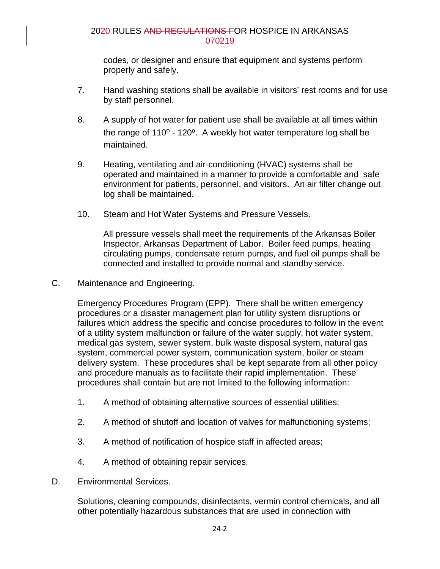codes, or designer and ensure that equipment and systems perform properly and safely.

- 7. Hand washing stations shall be available in visitors' rest rooms and for use by staff personnel.
- 8. A supply of hot water for patient use shall be available at all times within the range of 110º - 120º. A weekly hot water temperature log shall be maintained.
- 9. Heating, ventilating and air-conditioning (HVAC) systems shall be operated and maintained in a manner to provide a comfortable and safe environment for patients, personnel, and visitors. An air filter change out log shall be maintained.
- 10. Steam and Hot Water Systems and Pressure Vessels.

All pressure vessels shall meet the requirements of the Arkansas Boiler Inspector, Arkansas Department of Labor. Boiler feed pumps, heating circulating pumps, condensate return pumps, and fuel oil pumps shall be connected and installed to provide normal and standby service.

C. Maintenance and Engineering.

Emergency Procedures Program (EPP). There shall be written emergency procedures or a disaster management plan for utility system disruptions or failures which address the specific and concise procedures to follow in the event of a utility system malfunction or failure of the water supply, hot water system, medical gas system, sewer system, bulk waste disposal system, natural gas system, commercial power system, communication system, boiler or steam delivery system. These procedures shall be kept separate from all other policy and procedure manuals as to facilitate their rapid implementation. These procedures shall contain but are not limited to the following information:

- 1. A method of obtaining alternative sources of essential utilities;
- 2. A method of shutoff and location of valves for malfunctioning systems;
- 3. A method of notification of hospice staff in affected areas;
- 4. A method of obtaining repair services.
- D. Environmental Services.

Solutions, cleaning compounds, disinfectants, vermin control chemicals, and all other potentially hazardous substances that are used in connection with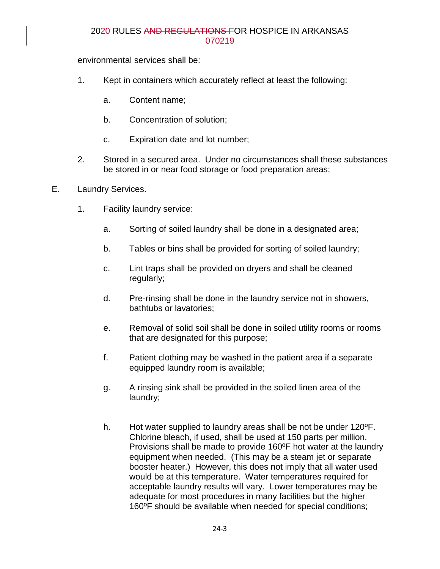environmental services shall be:

- 1. Kept in containers which accurately reflect at least the following:
	- a. Content name;
	- b. Concentration of solution;
	- c. Expiration date and lot number;
- 2. Stored in a secured area. Under no circumstances shall these substances be stored in or near food storage or food preparation areas;
- E. Laundry Services.
	- 1. Facility laundry service:
		- a. Sorting of soiled laundry shall be done in a designated area;
		- b. Tables or bins shall be provided for sorting of soiled laundry;
		- c. Lint traps shall be provided on dryers and shall be cleaned regularly;
		- d. Pre-rinsing shall be done in the laundry service not in showers, bathtubs or lavatories;
		- e. Removal of solid soil shall be done in soiled utility rooms or rooms that are designated for this purpose;
		- f. Patient clothing may be washed in the patient area if a separate equipped laundry room is available;
		- g. A rinsing sink shall be provided in the soiled linen area of the laundry;
		- h. Hot water supplied to laundry areas shall be not be under 120ºF. Chlorine bleach, if used, shall be used at 150 parts per million. Provisions shall be made to provide 160ºF hot water at the laundry equipment when needed. (This may be a steam jet or separate booster heater.) However, this does not imply that all water used would be at this temperature. Water temperatures required for acceptable laundry results will vary. Lower temperatures may be adequate for most procedures in many facilities but the higher 160ºF should be available when needed for special conditions;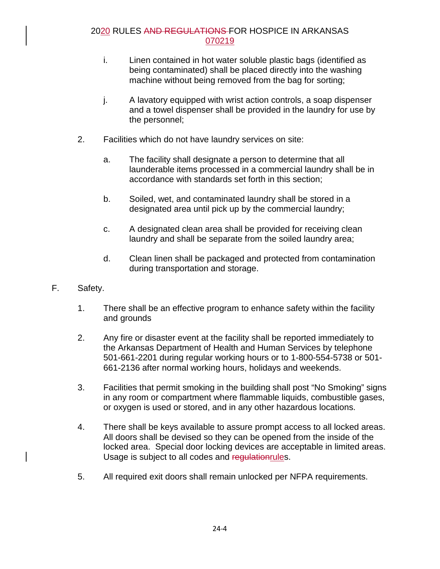- i. Linen contained in hot water soluble plastic bags (identified as being contaminated) shall be placed directly into the washing machine without being removed from the bag for sorting;
- j. A lavatory equipped with wrist action controls, a soap dispenser and a towel dispenser shall be provided in the laundry for use by the personnel;
- 2. Facilities which do not have laundry services on site:
	- a. The facility shall designate a person to determine that all launderable items processed in a commercial laundry shall be in accordance with standards set forth in this section;
	- b. Soiled, wet, and contaminated laundry shall be stored in a designated area until pick up by the commercial laundry;
	- c. A designated clean area shall be provided for receiving clean laundry and shall be separate from the soiled laundry area;
	- d. Clean linen shall be packaged and protected from contamination during transportation and storage.
- F. Safety.
	- 1. There shall be an effective program to enhance safety within the facility and grounds
	- 2. Any fire or disaster event at the facility shall be reported immediately to the Arkansas Department of Health and Human Services by telephone 501-661-2201 during regular working hours or to 1-800-554-5738 or 501- 661-2136 after normal working hours, holidays and weekends.
	- 3. Facilities that permit smoking in the building shall post "No Smoking" signs in any room or compartment where flammable liquids, combustible gases, or oxygen is used or stored, and in any other hazardous locations.
	- 4. There shall be keys available to assure prompt access to all locked areas. All doors shall be devised so they can be opened from the inside of the locked area. Special door locking devices are acceptable in limited areas. Usage is subject to all codes and regulationrules.
	- 5. All required exit doors shall remain unlocked per NFPA requirements.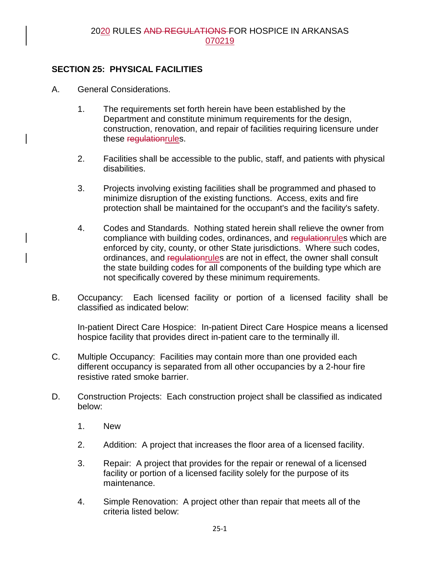## **SECTION 25: PHYSICAL FACILITIES**

- A. General Considerations.
	- 1. The requirements set forth herein have been established by the Department and constitute minimum requirements for the design, construction, renovation, and repair of facilities requiring licensure under these regulationrules.
	- 2. Facilities shall be accessible to the public, staff, and patients with physical disabilities.
	- 3. Projects involving existing facilities shall be programmed and phased to minimize disruption of the existing functions. Access, exits and fire protection shall be maintained for the occupant's and the facility's safety.
	- 4. Codes and Standards. Nothing stated herein shall relieve the owner from compliance with building codes, ordinances, and requistion rules which are enforced by city, county, or other State jurisdictions. Where such codes, ordinances, and regulation rules are not in effect, the owner shall consult the state building codes for all components of the building type which are not specifically covered by these minimum requirements.
- B. Occupancy: Each licensed facility or portion of a licensed facility shall be classified as indicated below:

In-patient Direct Care Hospice: In-patient Direct Care Hospice means a licensed hospice facility that provides direct in-patient care to the terminally ill.

- C. Multiple Occupancy: Facilities may contain more than one provided each different occupancy is separated from all other occupancies by a 2-hour fire resistive rated smoke barrier.
- D. Construction Projects: Each construction project shall be classified as indicated below:
	- 1. New
	- 2. Addition: A project that increases the floor area of a licensed facility.
	- 3. Repair: A project that provides for the repair or renewal of a licensed facility or portion of a licensed facility solely for the purpose of its maintenance.
	- 4. Simple Renovation: A project other than repair that meets all of the criteria listed below: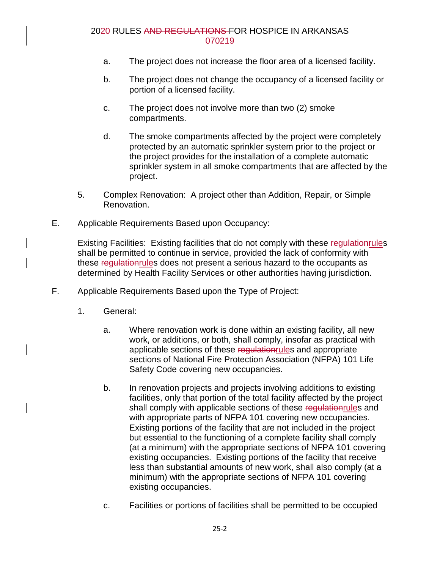- a. The project does not increase the floor area of a licensed facility.
- b. The project does not change the occupancy of a licensed facility or portion of a licensed facility.
- c. The project does not involve more than two (2) smoke compartments.
- d. The smoke compartments affected by the project were completely protected by an automatic sprinkler system prior to the project or the project provides for the installation of a complete automatic sprinkler system in all smoke compartments that are affected by the project.
- 5. Complex Renovation: A project other than Addition, Repair, or Simple Renovation.
- E. Applicable Requirements Based upon Occupancy:

Existing Facilities: Existing facilities that do not comply with these regulation rules shall be permitted to continue in service, provided the lack of conformity with these regulationrules does not present a serious hazard to the occupants as determined by Health Facility Services or other authorities having jurisdiction.

- F. Applicable Requirements Based upon the Type of Project:
	- 1. General:
		- a. Where renovation work is done within an existing facility, all new work, or additions, or both, shall comply, insofar as practical with applicable sections of these regulation rules and appropriate sections of National Fire Protection Association (NFPA) 101 Life Safety Code covering new occupancies.
		- b. In renovation projects and projects involving additions to existing facilities, only that portion of the total facility affected by the project shall comply with applicable sections of these regulation rules and with appropriate parts of NFPA 101 covering new occupancies. Existing portions of the facility that are not included in the project but essential to the functioning of a complete facility shall comply (at a minimum) with the appropriate sections of NFPA 101 covering existing occupancies. Existing portions of the facility that receive less than substantial amounts of new work, shall also comply (at a minimum) with the appropriate sections of NFPA 101 covering existing occupancies.
		- c. Facilities or portions of facilities shall be permitted to be occupied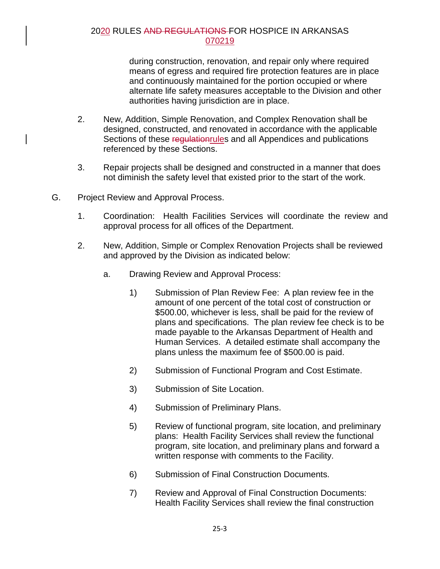during construction, renovation, and repair only where required means of egress and required fire protection features are in place and continuously maintained for the portion occupied or where alternate life safety measures acceptable to the Division and other authorities having jurisdiction are in place.

- 2. New, Addition, Simple Renovation, and Complex Renovation shall be designed, constructed, and renovated in accordance with the applicable Sections of these regulation rules and all Appendices and publications referenced by these Sections.
- 3. Repair projects shall be designed and constructed in a manner that does not diminish the safety level that existed prior to the start of the work.
- G. Project Review and Approval Process.
	- 1. Coordination: Health Facilities Services will coordinate the review and approval process for all offices of the Department.
	- 2. New, Addition, Simple or Complex Renovation Projects shall be reviewed and approved by the Division as indicated below:
		- a. Drawing Review and Approval Process:
			- 1) Submission of Plan Review Fee: A plan review fee in the amount of one percent of the total cost of construction or \$500.00, whichever is less, shall be paid for the review of plans and specifications. The plan review fee check is to be made payable to the Arkansas Department of Health and Human Services. A detailed estimate shall accompany the plans unless the maximum fee of \$500.00 is paid.
			- 2) Submission of Functional Program and Cost Estimate.
			- 3) Submission of Site Location.
			- 4) Submission of Preliminary Plans.
			- 5) Review of functional program, site location, and preliminary plans: Health Facility Services shall review the functional program, site location, and preliminary plans and forward a written response with comments to the Facility.
			- 6) Submission of Final Construction Documents.
			- 7) Review and Approval of Final Construction Documents: Health Facility Services shall review the final construction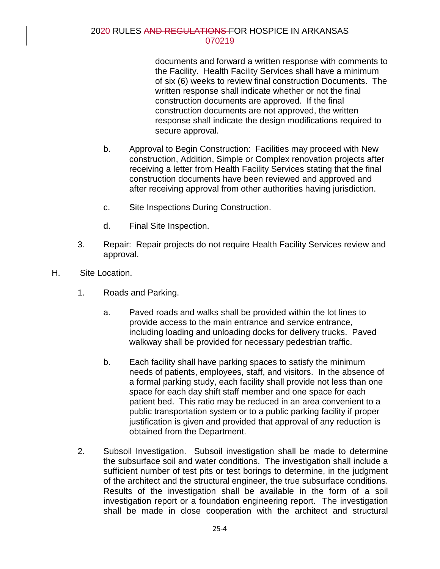documents and forward a written response with comments to the Facility. Health Facility Services shall have a minimum of six (6) weeks to review final construction Documents. The written response shall indicate whether or not the final construction documents are approved. If the final construction documents are not approved, the written response shall indicate the design modifications required to secure approval.

- b. Approval to Begin Construction: Facilities may proceed with New construction, Addition, Simple or Complex renovation projects after receiving a letter from Health Facility Services stating that the final construction documents have been reviewed and approved and after receiving approval from other authorities having jurisdiction.
- c. Site Inspections During Construction.
- d. Final Site Inspection.
- 3. Repair: Repair projects do not require Health Facility Services review and approval.
- H. Site Location.
	- 1. Roads and Parking.
		- a. Paved roads and walks shall be provided within the lot lines to provide access to the main entrance and service entrance, including loading and unloading docks for delivery trucks. Paved walkway shall be provided for necessary pedestrian traffic.
		- b. Each facility shall have parking spaces to satisfy the minimum needs of patients, employees, staff, and visitors. In the absence of a formal parking study, each facility shall provide not less than one space for each day shift staff member and one space for each patient bed. This ratio may be reduced in an area convenient to a public transportation system or to a public parking facility if proper justification is given and provided that approval of any reduction is obtained from the Department.
	- 2. Subsoil Investigation. Subsoil investigation shall be made to determine the subsurface soil and water conditions. The investigation shall include a sufficient number of test pits or test borings to determine, in the judgment of the architect and the structural engineer, the true subsurface conditions. Results of the investigation shall be available in the form of a soil investigation report or a foundation engineering report. The investigation shall be made in close cooperation with the architect and structural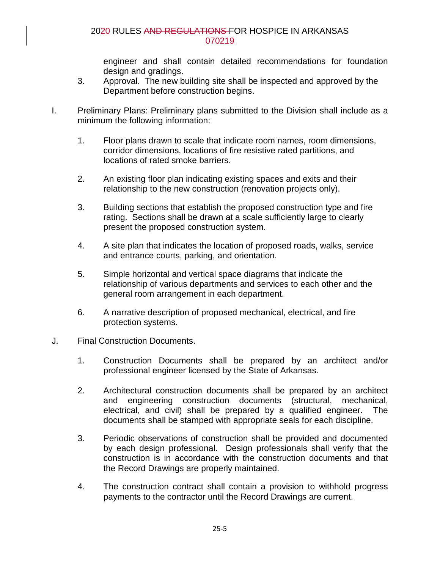engineer and shall contain detailed recommendations for foundation design and gradings.

- 3. Approval. The new building site shall be inspected and approved by the Department before construction begins.
- I. Preliminary Plans: Preliminary plans submitted to the Division shall include as a minimum the following information:
	- 1. Floor plans drawn to scale that indicate room names, room dimensions, corridor dimensions, locations of fire resistive rated partitions, and locations of rated smoke barriers.
	- 2. An existing floor plan indicating existing spaces and exits and their relationship to the new construction (renovation projects only).
	- 3. Building sections that establish the proposed construction type and fire rating. Sections shall be drawn at a scale sufficiently large to clearly present the proposed construction system.
	- 4. A site plan that indicates the location of proposed roads, walks, service and entrance courts, parking, and orientation.
	- 5. Simple horizontal and vertical space diagrams that indicate the relationship of various departments and services to each other and the general room arrangement in each department.
	- 6. A narrative description of proposed mechanical, electrical, and fire protection systems.
- J. Final Construction Documents.
	- 1. Construction Documents shall be prepared by an architect and/or professional engineer licensed by the State of Arkansas.
	- 2. Architectural construction documents shall be prepared by an architect and engineering construction documents (structural, mechanical, electrical, and civil) shall be prepared by a qualified engineer. The documents shall be stamped with appropriate seals for each discipline.
	- 3. Periodic observations of construction shall be provided and documented by each design professional. Design professionals shall verify that the construction is in accordance with the construction documents and that the Record Drawings are properly maintained.
	- 4. The construction contract shall contain a provision to withhold progress payments to the contractor until the Record Drawings are current.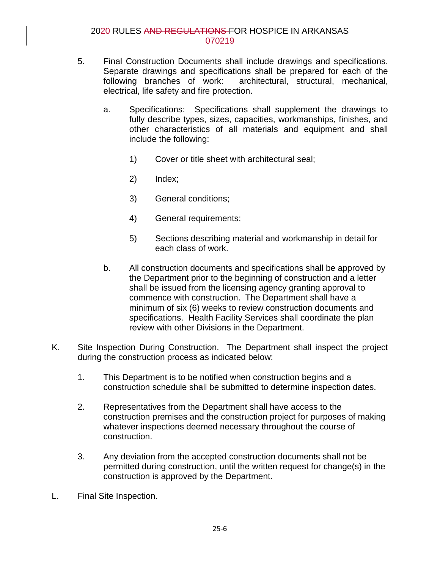- 5. Final Construction Documents shall include drawings and specifications. Separate drawings and specifications shall be prepared for each of the following branches of work: architectural, structural, mechanical, electrical, life safety and fire protection.
	- a. Specifications: Specifications shall supplement the drawings to fully describe types, sizes, capacities, workmanships, finishes, and other characteristics of all materials and equipment and shall include the following:
		- 1) Cover or title sheet with architectural seal;
		- 2) Index;
		- 3) General conditions;
		- 4) General requirements;
		- 5) Sections describing material and workmanship in detail for each class of work.
	- b. All construction documents and specifications shall be approved by the Department prior to the beginning of construction and a letter shall be issued from the licensing agency granting approval to commence with construction. The Department shall have a minimum of six (6) weeks to review construction documents and specifications. Health Facility Services shall coordinate the plan review with other Divisions in the Department.
- K. Site Inspection During Construction. The Department shall inspect the project during the construction process as indicated below:
	- 1. This Department is to be notified when construction begins and a construction schedule shall be submitted to determine inspection dates.
	- 2. Representatives from the Department shall have access to the construction premises and the construction project for purposes of making whatever inspections deemed necessary throughout the course of construction.
	- 3. Any deviation from the accepted construction documents shall not be permitted during construction, until the written request for change(s) in the construction is approved by the Department.
- L. Final Site Inspection.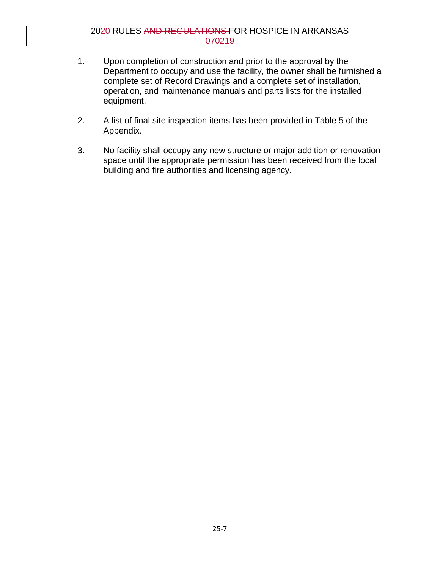- 1. Upon completion of construction and prior to the approval by the Department to occupy and use the facility, the owner shall be furnished a complete set of Record Drawings and a complete set of installation, operation, and maintenance manuals and parts lists for the installed equipment.
- 2. A list of final site inspection items has been provided in Table 5 of the Appendix.
- 3. No facility shall occupy any new structure or major addition or renovation space until the appropriate permission has been received from the local building and fire authorities and licensing agency.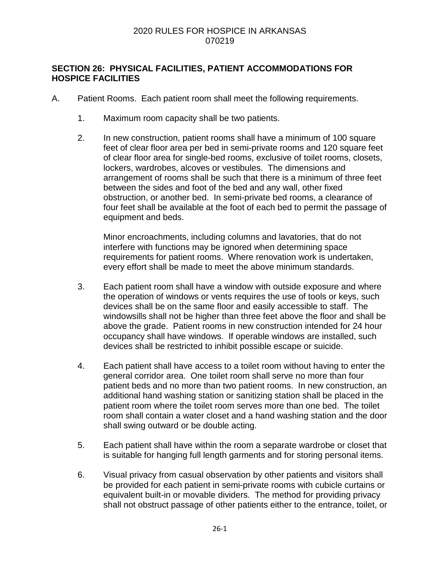### **SECTION 26: PHYSICAL FACILITIES, PATIENT ACCOMMODATIONS FOR HOSPICE FACILITIES**

- A. Patient Rooms. Each patient room shall meet the following requirements.
	- 1. Maximum room capacity shall be two patients.
	- 2. In new construction, patient rooms shall have a minimum of 100 square feet of clear floor area per bed in semi-private rooms and 120 square feet of clear floor area for single-bed rooms, exclusive of toilet rooms, closets, lockers, wardrobes, alcoves or vestibules. The dimensions and arrangement of rooms shall be such that there is a minimum of three feet between the sides and foot of the bed and any wall, other fixed obstruction, or another bed. In semi-private bed rooms, a clearance of four feet shall be available at the foot of each bed to permit the passage of equipment and beds.

Minor encroachments, including columns and lavatories, that do not interfere with functions may be ignored when determining space requirements for patient rooms. Where renovation work is undertaken, every effort shall be made to meet the above minimum standards.

- 3. Each patient room shall have a window with outside exposure and where the operation of windows or vents requires the use of tools or keys, such devices shall be on the same floor and easily accessible to staff. The windowsills shall not be higher than three feet above the floor and shall be above the grade. Patient rooms in new construction intended for 24 hour occupancy shall have windows. If operable windows are installed, such devices shall be restricted to inhibit possible escape or suicide.
- 4. Each patient shall have access to a toilet room without having to enter the general corridor area. One toilet room shall serve no more than four patient beds and no more than two patient rooms. In new construction, an additional hand washing station or sanitizing station shall be placed in the patient room where the toilet room serves more than one bed. The toilet room shall contain a water closet and a hand washing station and the door shall swing outward or be double acting.
- 5. Each patient shall have within the room a separate wardrobe or closet that is suitable for hanging full length garments and for storing personal items.
- 6. Visual privacy from casual observation by other patients and visitors shall be provided for each patient in semi-private rooms with cubicle curtains or equivalent built-in or movable dividers. The method for providing privacy shall not obstruct passage of other patients either to the entrance, toilet, or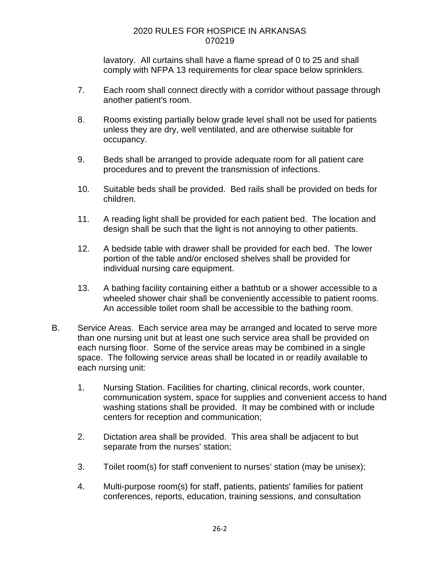lavatory. All curtains shall have a flame spread of 0 to 25 and shall comply with NFPA 13 requirements for clear space below sprinklers.

- 7. Each room shall connect directly with a corridor without passage through another patient's room.
- 8. Rooms existing partially below grade level shall not be used for patients unless they are dry, well ventilated, and are otherwise suitable for occupancy.
- 9. Beds shall be arranged to provide adequate room for all patient care procedures and to prevent the transmission of infections.
- 10. Suitable beds shall be provided. Bed rails shall be provided on beds for children.
- 11. A reading light shall be provided for each patient bed. The location and design shall be such that the light is not annoying to other patients.
- 12. A bedside table with drawer shall be provided for each bed. The lower portion of the table and/or enclosed shelves shall be provided for individual nursing care equipment.
- 13. A bathing facility containing either a bathtub or a shower accessible to a wheeled shower chair shall be conveniently accessible to patient rooms. An accessible toilet room shall be accessible to the bathing room.
- B. Service Areas. Each service area may be arranged and located to serve more than one nursing unit but at least one such service area shall be provided on each nursing floor. Some of the service areas may be combined in a single space. The following service areas shall be located in or readily available to each nursing unit:
	- 1. Nursing Station. Facilities for charting, clinical records, work counter, communication system, space for supplies and convenient access to hand washing stations shall be provided. It may be combined with or include centers for reception and communication;
	- 2. Dictation area shall be provided. This area shall be adjacent to but separate from the nurses' station;
	- 3. Toilet room(s) for staff convenient to nurses' station (may be unisex);
	- 4. Multi-purpose room(s) for staff, patients, patients' families for patient conferences, reports, education, training sessions, and consultation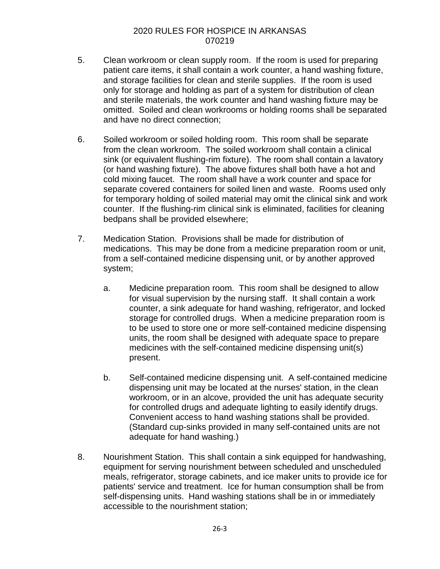- 5. Clean workroom or clean supply room. If the room is used for preparing patient care items, it shall contain a work counter, a hand washing fixture, and storage facilities for clean and sterile supplies. If the room is used only for storage and holding as part of a system for distribution of clean and sterile materials, the work counter and hand washing fixture may be omitted. Soiled and clean workrooms or holding rooms shall be separated and have no direct connection;
- 6. Soiled workroom or soiled holding room. This room shall be separate from the clean workroom. The soiled workroom shall contain a clinical sink (or equivalent flushing-rim fixture). The room shall contain a lavatory (or hand washing fixture). The above fixtures shall both have a hot and cold mixing faucet. The room shall have a work counter and space for separate covered containers for soiled linen and waste. Rooms used only for temporary holding of soiled material may omit the clinical sink and work counter. If the flushing-rim clinical sink is eliminated, facilities for cleaning bedpans shall be provided elsewhere;
- 7. Medication Station. Provisions shall be made for distribution of medications. This may be done from a medicine preparation room or unit, from a self-contained medicine dispensing unit, or by another approved system;
	- a. Medicine preparation room. This room shall be designed to allow for visual supervision by the nursing staff. It shall contain a work counter, a sink adequate for hand washing, refrigerator, and locked storage for controlled drugs. When a medicine preparation room is to be used to store one or more self-contained medicine dispensing units, the room shall be designed with adequate space to prepare medicines with the self-contained medicine dispensing unit(s) present.
	- b. Self-contained medicine dispensing unit. A self-contained medicine dispensing unit may be located at the nurses' station, in the clean workroom, or in an alcove, provided the unit has adequate security for controlled drugs and adequate lighting to easily identify drugs. Convenient access to hand washing stations shall be provided. (Standard cup-sinks provided in many self-contained units are not adequate for hand washing.)
- 8. Nourishment Station. This shall contain a sink equipped for handwashing, equipment for serving nourishment between scheduled and unscheduled meals, refrigerator, storage cabinets, and ice maker units to provide ice for patients' service and treatment. Ice for human consumption shall be from self-dispensing units. Hand washing stations shall be in or immediately accessible to the nourishment station;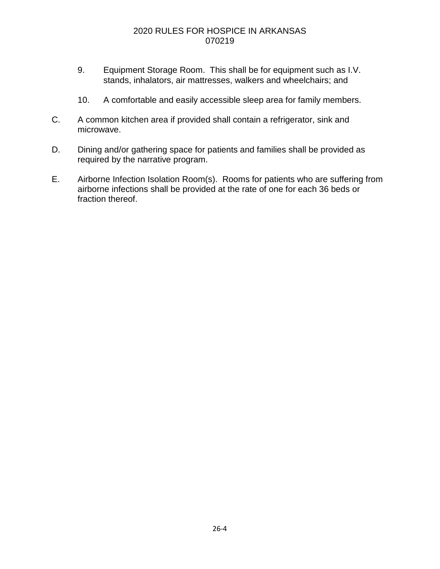- 9. Equipment Storage Room. This shall be for equipment such as I.V. stands, inhalators, air mattresses, walkers and wheelchairs; and
- 10. A comfortable and easily accessible sleep area for family members.
- C. A common kitchen area if provided shall contain a refrigerator, sink and microwave.
- D. Dining and/or gathering space for patients and families shall be provided as required by the narrative program.
- E. Airborne Infection Isolation Room(s). Rooms for patients who are suffering from airborne infections shall be provided at the rate of one for each 36 beds or fraction thereof.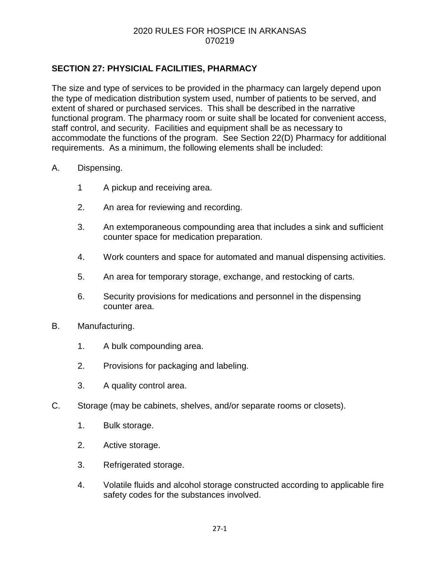## **SECTION 27: PHYSICIAL FACILITIES, PHARMACY**

The size and type of services to be provided in the pharmacy can largely depend upon the type of medication distribution system used, number of patients to be served, and extent of shared or purchased services. This shall be described in the narrative functional program. The pharmacy room or suite shall be located for convenient access, staff control, and security. Facilities and equipment shall be as necessary to accommodate the functions of the program. See Section 22(D) Pharmacy for additional requirements. As a minimum, the following elements shall be included:

#### A. Dispensing.

- 1 A pickup and receiving area.
- 2. An area for reviewing and recording.
- 3. An extemporaneous compounding area that includes a sink and sufficient counter space for medication preparation.
- 4. Work counters and space for automated and manual dispensing activities.
- 5. An area for temporary storage, exchange, and restocking of carts.
- 6. Security provisions for medications and personnel in the dispensing counter area.
- B. Manufacturing.
	- 1. A bulk compounding area.
	- 2. Provisions for packaging and labeling.
	- 3. A quality control area.
- C. Storage (may be cabinets, shelves, and/or separate rooms or closets).
	- 1. Bulk storage.
	- 2. Active storage.
	- 3. Refrigerated storage.
	- 4. Volatile fluids and alcohol storage constructed according to applicable fire safety codes for the substances involved.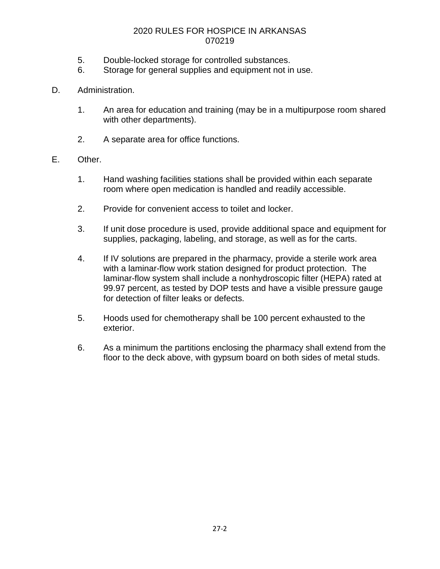- 5. Double-locked storage for controlled substances.
- 6. Storage for general supplies and equipment not in use.
- D. Administration.
	- 1. An area for education and training (may be in a multipurpose room shared with other departments).
	- 2. A separate area for office functions.
- E. Other.
	- 1. Hand washing facilities stations shall be provided within each separate room where open medication is handled and readily accessible.
	- 2. Provide for convenient access to toilet and locker.
	- 3. If unit dose procedure is used, provide additional space and equipment for supplies, packaging, labeling, and storage, as well as for the carts.
	- 4. If IV solutions are prepared in the pharmacy, provide a sterile work area with a laminar-flow work station designed for product protection. The laminar-flow system shall include a nonhydroscopic filter (HEPA) rated at 99.97 percent, as tested by DOP tests and have a visible pressure gauge for detection of filter leaks or defects.
	- 5. Hoods used for chemotherapy shall be 100 percent exhausted to the exterior.
	- 6. As a minimum the partitions enclosing the pharmacy shall extend from the floor to the deck above, with gypsum board on both sides of metal studs.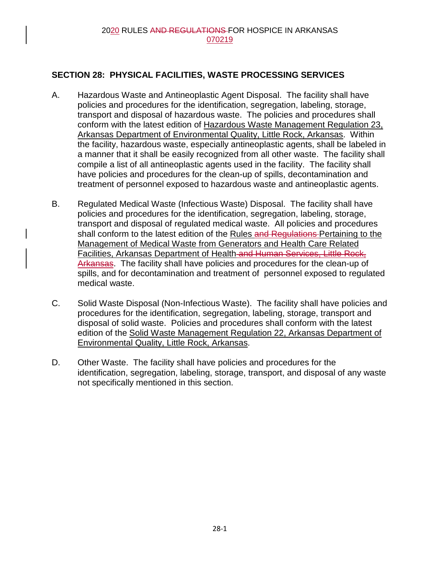## **SECTION 28: PHYSICAL FACILITIES, WASTE PROCESSING SERVICES**

- A. Hazardous Waste and Antineoplastic Agent Disposal. The facility shall have policies and procedures for the identification, segregation, labeling, storage, transport and disposal of hazardous waste. The policies and procedures shall conform with the latest edition of Hazardous Waste Management Regulation 23, Arkansas Department of Environmental Quality, Little Rock, Arkansas. Within the facility, hazardous waste, especially antineoplastic agents, shall be labeled in a manner that it shall be easily recognized from all other waste. The facility shall compile a list of all antineoplastic agents used in the facility. The facility shall have policies and procedures for the clean-up of spills, decontamination and treatment of personnel exposed to hazardous waste and antineoplastic agents.
- B. Regulated Medical Waste (Infectious Waste) Disposal. The facility shall have policies and procedures for the identification, segregation, labeling, storage, transport and disposal of regulated medical waste. All policies and procedures shall conform to the latest edition of the Rules and Regulations-Pertaining to the Management of Medical Waste from Generators and Health Care Related Facilities, Arkansas Department of Health-and Human Services, Little Rock, Arkansas. The facility shall have policies and procedures for the clean-up of spills, and for decontamination and treatment of personnel exposed to regulated medical waste.
- C. Solid Waste Disposal (Non-Infectious Waste). The facility shall have policies and procedures for the identification, segregation, labeling, storage, transport and disposal of solid waste. Policies and procedures shall conform with the latest edition of the Solid Waste Management Regulation 22, Arkansas Department of Environmental Quality, Little Rock, Arkansas.
- D. Other Waste. The facility shall have policies and procedures for the identification, segregation, labeling, storage, transport, and disposal of any waste not specifically mentioned in this section.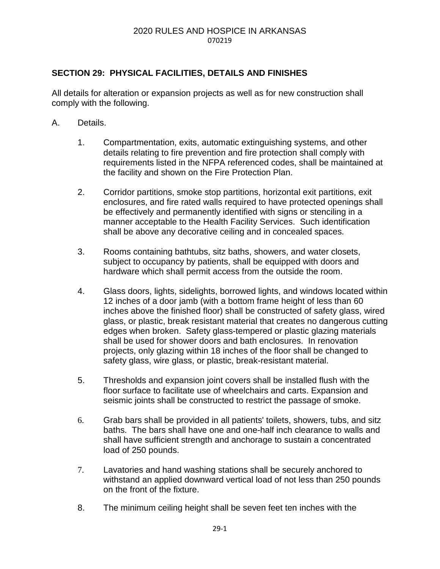#### 2020 RULES AND HOSPICE IN ARKANSAS 070219

### **SECTION 29: PHYSICAL FACILITIES, DETAILS AND FINISHES**

All details for alteration or expansion projects as well as for new construction shall comply with the following.

- A. Details.
	- 1. Compartmentation, exits, automatic extinguishing systems, and other details relating to fire prevention and fire protection shall comply with requirements listed in the NFPA referenced codes, shall be maintained at the facility and shown on the Fire Protection Plan.
	- 2. Corridor partitions, smoke stop partitions, horizontal exit partitions, exit enclosures, and fire rated walls required to have protected openings shall be effectively and permanently identified with signs or stenciling in a manner acceptable to the Health Facility Services. Such identification shall be above any decorative ceiling and in concealed spaces.
	- 3. Rooms containing bathtubs, sitz baths, showers, and water closets, subject to occupancy by patients, shall be equipped with doors and hardware which shall permit access from the outside the room.
	- 4. Glass doors, lights, sidelights, borrowed lights, and windows located within 12 inches of a door jamb (with a bottom frame height of less than 60 inches above the finished floor) shall be constructed of safety glass, wired glass, or plastic, break resistant material that creates no dangerous cutting edges when broken. Safety glass-tempered or plastic glazing materials shall be used for shower doors and bath enclosures. In renovation projects, only glazing within 18 inches of the floor shall be changed to safety glass, wire glass, or plastic, break-resistant material.
	- 5. Thresholds and expansion joint covers shall be installed flush with the floor surface to facilitate use of wheelchairs and carts. Expansion and seismic joints shall be constructed to restrict the passage of smoke.
	- 6. Grab bars shall be provided in all patients' toilets, showers, tubs, and sitz baths. The bars shall have one and one-half inch clearance to walls and shall have sufficient strength and anchorage to sustain a concentrated load of 250 pounds.
	- 7. Lavatories and hand washing stations shall be securely anchored to withstand an applied downward vertical load of not less than 250 pounds on the front of the fixture.
	- 8. The minimum ceiling height shall be seven feet ten inches with the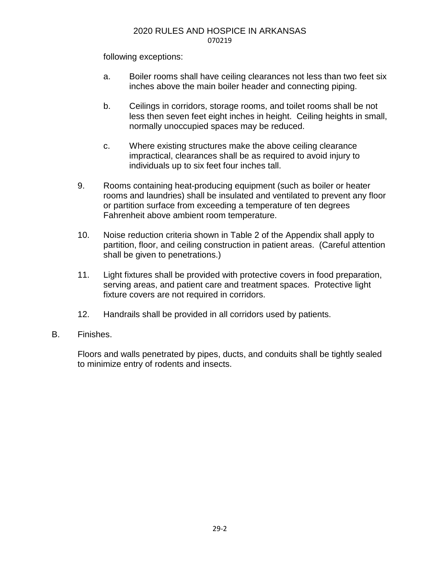#### 2020 RULES AND HOSPICE IN ARKANSAS 070219

following exceptions:

- a. Boiler rooms shall have ceiling clearances not less than two feet six inches above the main boiler header and connecting piping.
- b. Ceilings in corridors, storage rooms, and toilet rooms shall be not less then seven feet eight inches in height. Ceiling heights in small, normally unoccupied spaces may be reduced.
- c. Where existing structures make the above ceiling clearance impractical, clearances shall be as required to avoid injury to individuals up to six feet four inches tall.
- 9. Rooms containing heat-producing equipment (such as boiler or heater rooms and laundries) shall be insulated and ventilated to prevent any floor or partition surface from exceeding a temperature of ten degrees Fahrenheit above ambient room temperature.
- 10. Noise reduction criteria shown in Table 2 of the Appendix shall apply to partition, floor, and ceiling construction in patient areas. (Careful attention shall be given to penetrations.)
- 11. Light fixtures shall be provided with protective covers in food preparation, serving areas, and patient care and treatment spaces. Protective light fixture covers are not required in corridors.
- 12. Handrails shall be provided in all corridors used by patients.
- B. Finishes.

Floors and walls penetrated by pipes, ducts, and conduits shall be tightly sealed to minimize entry of rodents and insects.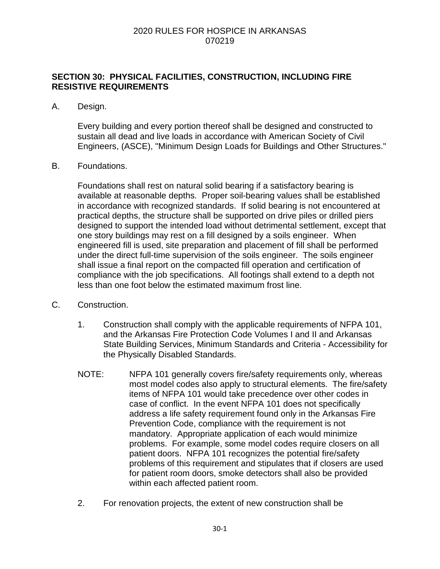### **SECTION 30: PHYSICAL FACILITIES, CONSTRUCTION, INCLUDING FIRE RESISTIVE REQUIREMENTS**

#### A. Design.

Every building and every portion thereof shall be designed and constructed to sustain all dead and live loads in accordance with American Society of Civil Engineers, (ASCE), "Minimum Design Loads for Buildings and Other Structures."

#### B. Foundations.

Foundations shall rest on natural solid bearing if a satisfactory bearing is available at reasonable depths. Proper soil-bearing values shall be established in accordance with recognized standards. If solid bearing is not encountered at practical depths, the structure shall be supported on drive piles or drilled piers designed to support the intended load without detrimental settlement, except that one story buildings may rest on a fill designed by a soils engineer. When engineered fill is used, site preparation and placement of fill shall be performed under the direct full-time supervision of the soils engineer. The soils engineer shall issue a final report on the compacted fill operation and certification of compliance with the job specifications. All footings shall extend to a depth not less than one foot below the estimated maximum frost line.

- C. Construction.
	- 1. Construction shall comply with the applicable requirements of NFPA 101, and the Arkansas Fire Protection Code Volumes I and II and Arkansas State Building Services, Minimum Standards and Criteria - Accessibility for the Physically Disabled Standards.
	- NOTE: NFPA 101 generally covers fire/safety requirements only, whereas most model codes also apply to structural elements. The fire/safety items of NFPA 101 would take precedence over other codes in case of conflict. In the event NFPA 101 does not specifically address a life safety requirement found only in the Arkansas Fire Prevention Code, compliance with the requirement is not mandatory. Appropriate application of each would minimize problems. For example, some model codes require closers on all patient doors. NFPA 101 recognizes the potential fire/safety problems of this requirement and stipulates that if closers are used for patient room doors, smoke detectors shall also be provided within each affected patient room.
	- 2. For renovation projects, the extent of new construction shall be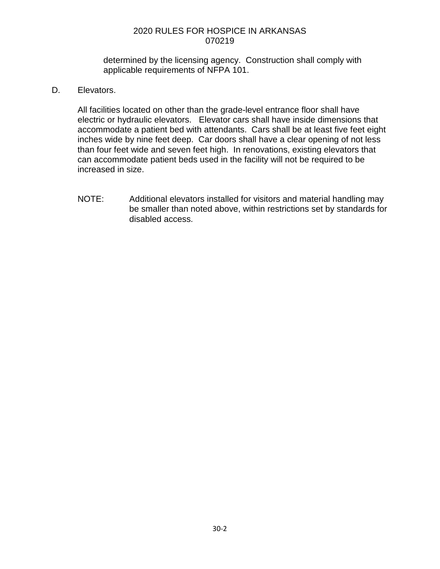determined by the licensing agency. Construction shall comply with applicable requirements of NFPA 101.

D. Elevators.

All facilities located on other than the grade-level entrance floor shall have electric or hydraulic elevators. Elevator cars shall have inside dimensions that accommodate a patient bed with attendants. Cars shall be at least five feet eight inches wide by nine feet deep. Car doors shall have a clear opening of not less than four feet wide and seven feet high. In renovations, existing elevators that can accommodate patient beds used in the facility will not be required to be increased in size.

NOTE: Additional elevators installed for visitors and material handling may be smaller than noted above, within restrictions set by standards for disabled access.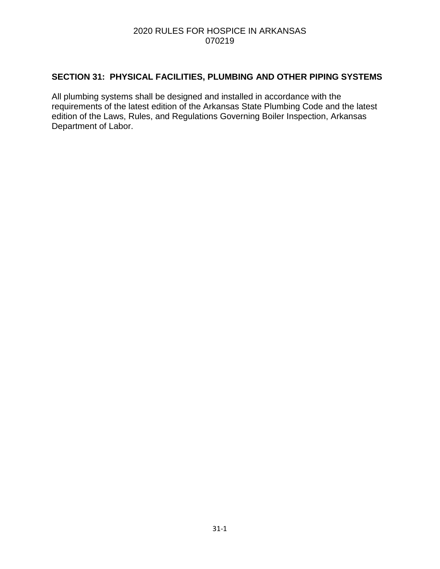## **SECTION 31: PHYSICAL FACILITIES, PLUMBING AND OTHER PIPING SYSTEMS**

All plumbing systems shall be designed and installed in accordance with the requirements of the latest edition of the Arkansas State Plumbing Code and the latest edition of the Laws, Rules, and Regulations Governing Boiler Inspection, Arkansas Department of Labor.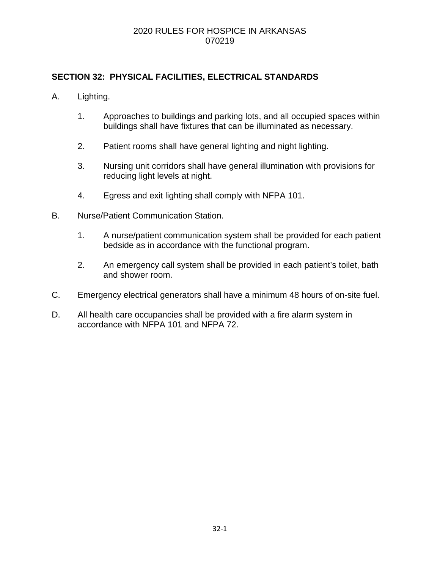### **SECTION 32: PHYSICAL FACILITIES, ELECTRICAL STANDARDS**

- A. Lighting.
	- 1. Approaches to buildings and parking lots, and all occupied spaces within buildings shall have fixtures that can be illuminated as necessary.
	- 2. Patient rooms shall have general lighting and night lighting.
	- 3. Nursing unit corridors shall have general illumination with provisions for reducing light levels at night.
	- 4. Egress and exit lighting shall comply with NFPA 101.
- B. Nurse/Patient Communication Station.
	- 1. A nurse/patient communication system shall be provided for each patient bedside as in accordance with the functional program.
	- 2. An emergency call system shall be provided in each patient's toilet, bath and shower room.
- C. Emergency electrical generators shall have a minimum 48 hours of on-site fuel.
- D. All health care occupancies shall be provided with a fire alarm system in accordance with NFPA 101 and NFPA 72.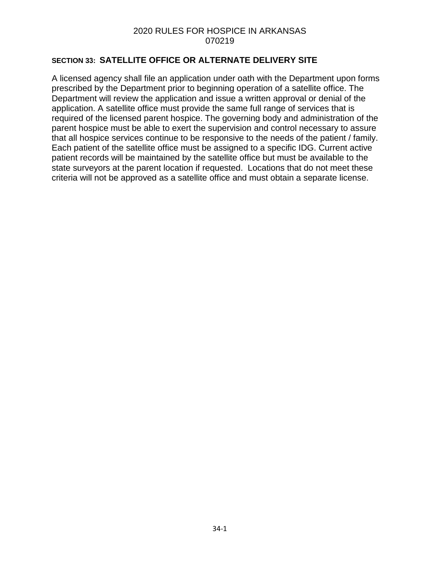#### **SECTION 33: SATELLITE OFFICE OR ALTERNATE DELIVERY SITE**

A licensed agency shall file an application under oath with the Department upon forms prescribed by the Department prior to beginning operation of a satellite office. The Department will review the application and issue a written approval or denial of the application. A satellite office must provide the same full range of services that is required of the licensed parent hospice. The governing body and administration of the parent hospice must be able to exert the supervision and control necessary to assure that all hospice services continue to be responsive to the needs of the patient / family. Each patient of the satellite office must be assigned to a specific IDG. Current active patient records will be maintained by the satellite office but must be available to the state surveyors at the parent location if requested. Locations that do not meet these criteria will not be approved as a satellite office and must obtain a separate license.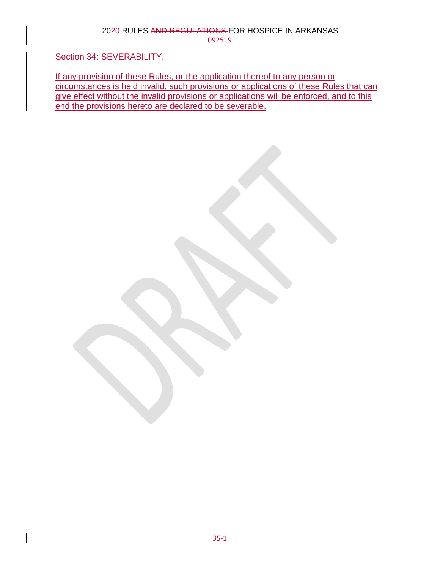Section 34: SEVERABILITY.

If any provision of these Rules, or the application thereof to any person or circumstances is held invalid, such provisions or applications of these Rules that can give effect without the invalid provisions or applications will be enforced, and to this end the provisions hereto are declared to be severable.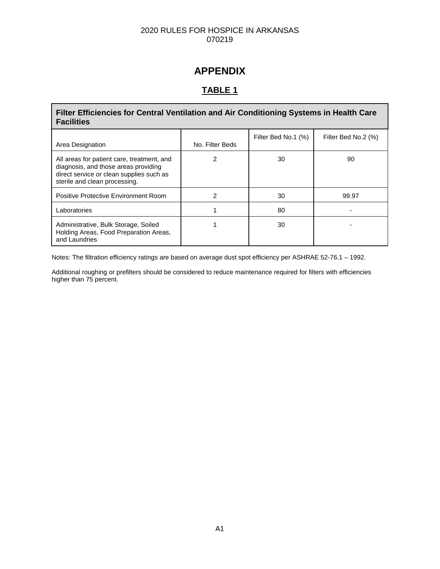# **APPENDIX**

# **TABLE 1**

Г

| Filter Efficiencies for Central Ventilation and Air Conditioning Systems in Health Care<br><b>Facilities</b>                                                    |                 |                     |                     |  |
|-----------------------------------------------------------------------------------------------------------------------------------------------------------------|-----------------|---------------------|---------------------|--|
| Area Designation                                                                                                                                                | No. Filter Beds | Filter Bed No.1 (%) | Filter Bed No.2 (%) |  |
| All areas for patient care, treatment, and<br>diagnosis, and those areas providing<br>direct service or clean supplies such as<br>sterile and clean processing. | 2               | 30                  | 90                  |  |
| Positive Protective Environment Room                                                                                                                            | 2               | 30                  | 99.97               |  |
| Laboratories                                                                                                                                                    |                 | 80                  |                     |  |
| Administrative, Bulk Storage, Soiled<br>Holding Areas, Food Preparation Areas,<br>and Laundries                                                                 |                 | 30                  |                     |  |

Notes: The filtration efficiency ratings are based on average dust spot efficiency per ASHRAE 52-76.1 – 1992.

Additional roughing or prefilters should be considered to reduce maintenance required for filters with efficiencies higher than 75 percent.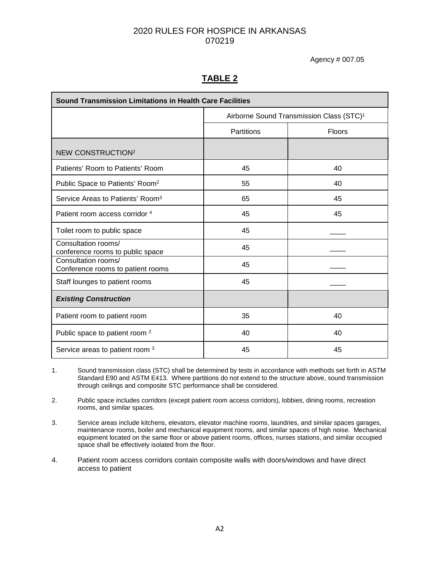Agency # 007.05

# **TABLE 2**

| <b>Sound Transmission Limitations in Health Care Facilities</b> |                                                      |    |  |
|-----------------------------------------------------------------|------------------------------------------------------|----|--|
|                                                                 | Airborne Sound Transmission Class (STC) <sup>1</sup> |    |  |
|                                                                 | Partitions<br>Floors                                 |    |  |
| <b>NEW CONSTRUCTION<sup>2</sup></b>                             |                                                      |    |  |
| Patients' Room to Patients' Room                                | 45                                                   | 40 |  |
| Public Space to Patients' Room <sup>2</sup>                     | 55                                                   | 40 |  |
| Service Areas to Patients' Room <sup>3</sup>                    | 65                                                   | 45 |  |
| Patient room access corridor 4                                  | 45                                                   | 45 |  |
| Toilet room to public space                                     | 45                                                   |    |  |
| Consultation rooms/<br>conference rooms to public space         | 45                                                   |    |  |
| Consultation rooms/<br>Conference rooms to patient rooms        | 45                                                   |    |  |
| Staff lounges to patient rooms                                  | 45                                                   |    |  |
| <b>Existing Construction</b>                                    |                                                      |    |  |
| Patient room to patient room                                    | 35                                                   | 40 |  |
| Public space to patient room <sup>2</sup>                       | 40                                                   | 40 |  |
| Service areas to patient room 3                                 | 45                                                   | 45 |  |

- 1. Sound transmission class (STC) shall be determined by tests in accordance with methods set forth in ASTM Standard E90 and ASTM E413. Where partitions do not extend to the structure above, sound transmission through ceilings and composite STC performance shall be considered.
- 2. Public space includes corridors (except patient room access corridors), lobbies, dining rooms, recreation rooms, and similar spaces.
- 3. Service areas include kitchens, elevators, elevator machine rooms, laundries, and similar spaces garages, maintenance rooms, boiler and mechanical equipment rooms, and similar spaces of high noise. Mechanical equipment located on the same floor or above patient rooms, offices, nurses stations, and similar occupied space shall be effectively isolated from the floor.
- 4. Patient room access corridors contain composite walls with doors/windows and have direct access to patient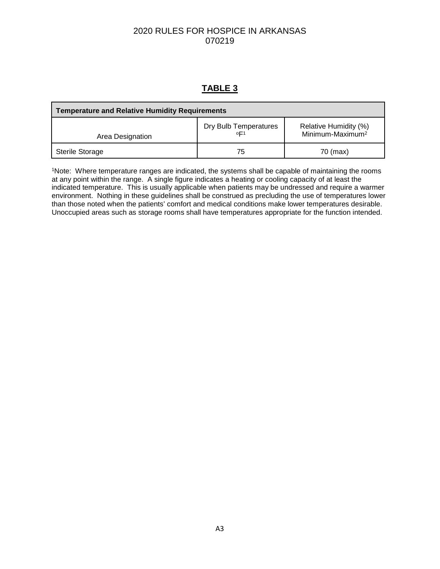# **TABLE 3**

| <b>Temperature and Relative Humidity Requirements</b> |                              |                                                       |  |
|-------------------------------------------------------|------------------------------|-------------------------------------------------------|--|
| Area Designation                                      | Dry Bulb Temperatures<br>oF1 | Relative Humidity (%)<br>Minimum-Maximum <sup>2</sup> |  |
| Sterile Storage                                       | 75                           | 70 (max)                                              |  |

1Note: Where temperature ranges are indicated, the systems shall be capable of maintaining the rooms at any point within the range. A single figure indicates a heating or cooling capacity of at least the indicated temperature. This is usually applicable when patients may be undressed and require a warmer environment. Nothing in these guidelines shall be construed as precluding the use of temperatures lower than those noted when the patients' comfort and medical conditions make lower temperatures desirable. Unoccupied areas such as storage rooms shall have temperatures appropriate for the function intended.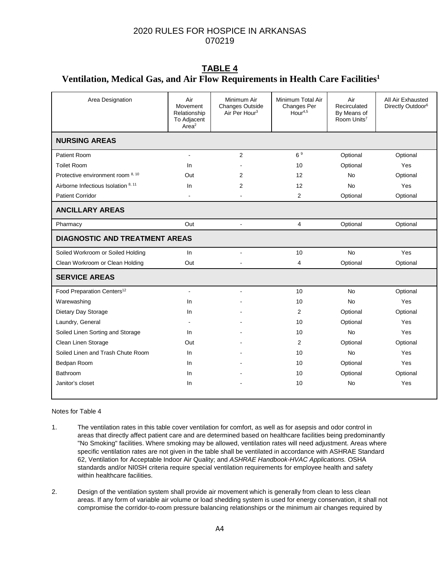#### **TABLE 4 Ventilation, Medical Gas, and Air Flow Requirements in Health Care Facilities1**

| Area Designation                       | Air<br>Movement<br>Relationship<br>To Adjacent<br>Area <sup>2</sup> | Minimum Air<br><b>Changes Outside</b><br>Air Per Hour <sup>3</sup> | Minimum Total Air<br>Changes Per<br>H <sub>Our</sub> <sup>4,5</sup> | Air<br>Recirculated<br>By Means of<br>Room Units <sup>7</sup> | All Air Exhausted<br>Directly Outdoor <sup>6</sup> |
|----------------------------------------|---------------------------------------------------------------------|--------------------------------------------------------------------|---------------------------------------------------------------------|---------------------------------------------------------------|----------------------------------------------------|
| <b>NURSING AREAS</b>                   |                                                                     |                                                                    |                                                                     |                                                               |                                                    |
| Patient Room                           | $\blacksquare$                                                      | 2                                                                  | 6 <sup>9</sup>                                                      | Optional                                                      | Optional                                           |
| <b>Toilet Room</b>                     | In.                                                                 |                                                                    | 10                                                                  | Optional                                                      | Yes                                                |
| Protective environment room 8, 10      | Out                                                                 | 2                                                                  | 12                                                                  | No                                                            | Optional                                           |
| Airborne Infectious Isolation 8, 11    | In.                                                                 | 2                                                                  | 12                                                                  | No                                                            | Yes                                                |
| <b>Patient Corridor</b>                |                                                                     |                                                                    | 2                                                                   | Optional                                                      | Optional                                           |
| <b>ANCILLARY AREAS</b>                 |                                                                     |                                                                    |                                                                     |                                                               |                                                    |
| Pharmacy                               | Out                                                                 | $\overline{a}$                                                     | $\overline{4}$                                                      | Optional                                                      | Optional                                           |
| <b>DIAGNOSTIC AND TREATMENT AREAS</b>  |                                                                     |                                                                    |                                                                     |                                                               |                                                    |
| Soiled Workroom or Soiled Holding      | In                                                                  | ä,                                                                 | 10                                                                  | <b>No</b>                                                     | Yes                                                |
| Clean Workroom or Clean Holding        | Out                                                                 |                                                                    | 4                                                                   | Optional                                                      | Optional                                           |
| <b>SERVICE AREAS</b>                   |                                                                     |                                                                    |                                                                     |                                                               |                                                    |
| Food Preparation Centers <sup>12</sup> | $\blacksquare$                                                      | ٠                                                                  | 10                                                                  | <b>No</b>                                                     | Optional                                           |
| Warewashing                            | In.                                                                 |                                                                    | 10                                                                  | No                                                            | Yes                                                |
| Dietary Day Storage                    | In.                                                                 |                                                                    | 2                                                                   | Optional                                                      | Optional                                           |
| Laundry, General                       |                                                                     |                                                                    | 10                                                                  | Optional                                                      | Yes                                                |
| Soiled Linen Sorting and Storage       | In.                                                                 |                                                                    | 10                                                                  | <b>No</b>                                                     | Yes                                                |
| Clean Linen Storage                    | Out                                                                 |                                                                    | 2                                                                   | Optional                                                      | Optional                                           |
| Soiled Linen and Trash Chute Room      | In                                                                  |                                                                    | 10                                                                  | No                                                            | Yes                                                |
| Bedpan Room                            | In.                                                                 |                                                                    | 10                                                                  | Optional                                                      | Yes                                                |
| Bathroom                               | In.                                                                 |                                                                    | 10                                                                  | Optional                                                      | Optional                                           |
| Janitor's closet                       | In.                                                                 |                                                                    | 10                                                                  | <b>No</b>                                                     | Yes                                                |
|                                        |                                                                     |                                                                    |                                                                     |                                                               |                                                    |

#### Notes for Table 4

- 1. The ventilation rates in this table cover ventilation for comfort, as well as for asepsis and odor control in areas that directly affect patient care and are determined based on healthcare facilities being predominantly "No Smoking" facilities. Where smoking may be allowed, ventilation rates will need adjustment. Areas where specific ventilation rates are not given in the table shall be ventilated in accordance with ASHRAE Standard 62, Ventilation for Acceptable Indoor Air Quality; and *ASHRAE Handbook-HVAC Applications.* OSHA standards and/or NI0SH criteria require special ventilation requirements for employee health and safety within healthcare facilities.
- 2. Design of the ventilation system shall provide air movement which is generally from clean to less clean areas. If any form of variable air volume or load shedding system is used for energy conservation, it shall not compromise the corridor-to-room pressure balancing relationships or the minimum air changes required by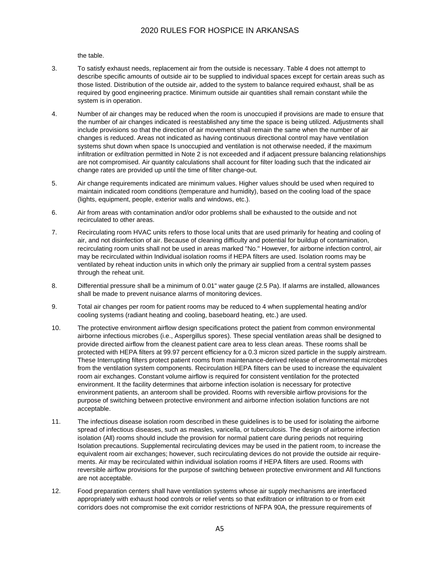the table.

- 3. To satisfy exhaust needs, replacement air from the outside is necessary. Table 4 does not attempt to describe specific amounts of outside air to be supplied to individual spaces except for certain areas such as those listed. Distribution of the outside air, added to the system to balance required exhaust, shall be as required by good engineering practice. Minimum outside air quantities shall remain constant while the system is in operation.
- 4. Number of air changes may be reduced when the room is unoccupied if provisions are made to ensure that the number of air changes indicated is reestablished any time the space is being utilized. Adjustments shall include provisions so that the direction of air movement shall remain the same when the number of air changes is reduced. Areas not indicated as having continuous directional control may have ventilation systems shut down when space Is unoccupied and ventilation is not otherwise needed, if the maximum infiltration or exfiltration permitted in Note 2 is not exceeded and if adjacent pressure balancing relationships are not compromised. Air quantity calculations shall account for filter loading such that the indicated air change rates are provided up until the time of filter change-out.
- 5. Air change requirements indicated are minimum values. Higher values should be used when required to maintain indicated room conditions (temperature and humidity), based on the cooling load of the space (lights, equipment, people, exterior walls and windows, etc.).
- 6. Air from areas with contamination and/or odor problems shall be exhausted to the outside and not recirculated to other areas.
- 7. Recirculating room HVAC units refers to those local units that are used primarily for heating and cooling of air, and not disinfection of air. Because of cleaning difficulty and potential for buildup of contamination, recirculating room units shall not be used in areas marked "No." However, for airborne infection control, air may be recirculated within Individual isolation rooms if HEPA filters are used. Isolation rooms may be ventilated by reheat induction units in which only the primary air supplied from a central system passes through the reheat unit.
- 8. Differential pressure shall be a minimum of 0.01" water gauge (2.5 Pa). If alarms are installed, allowances shall be made to prevent nuisance alarms of monitoring devices.
- 9. Total air changes per room for patient rooms may be reduced to 4 when supplemental heating and/or cooling systems (radiant heating and cooling, baseboard heating, etc.) are used.
- 10. The protective environment airflow design specifications protect the patient from common environmental airborne infectious microbes (i.e., Aspergillus spores). These special ventilation areas shall be designed to provide directed airflow from the cleanest patient care area to less clean areas. These rooms shall be protected with HEPA filters at 99.97 percent efficiency for a 0.3 micron sized particle in the supply airstream. These Interrupting filters protect patient rooms from maintenance-derived release of environmental microbes from the ventilation system components. Recirculation HEPA filters can be used to increase the equivalent room air exchanges. Constant volume airflow is required for consistent ventilation for the protected environment. It the facility determines that airborne infection isolation is necessary for protective environment patients, an anteroom shall be provided. Rooms with reversible airflow provisions for the purpose of switching between protective environment and airborne infection isolation functions are not acceptable.
- 11. The infectious disease isolation room described in these guidelines is to be used for isolating the airborne spread of infectious diseases, such as measles, varicella, or tuberculosis. The design of airborne infection isolation (All) rooms should include the provision for normal patient care during periods not requiring Isolation precautions. Supplemental recirculating devices may be used in the patient room, to increase the equivalent room air exchanges; however, such recirculating devices do not provide the outside air requirements. Air may be recirculated within individual isolation rooms if HEPA filters are used. Rooms with reversible airflow provisions for the purpose of switching between protective environment and All functions are not acceptable.
- 12. Food preparation centers shall have ventilation systems whose air supply mechanisms are interfaced appropriately with exhaust hood controls or relief vents so that exfiltration or infiltration to or from exit corridors does not compromise the exit corridor restrictions of NFPA 90A, the pressure requirements of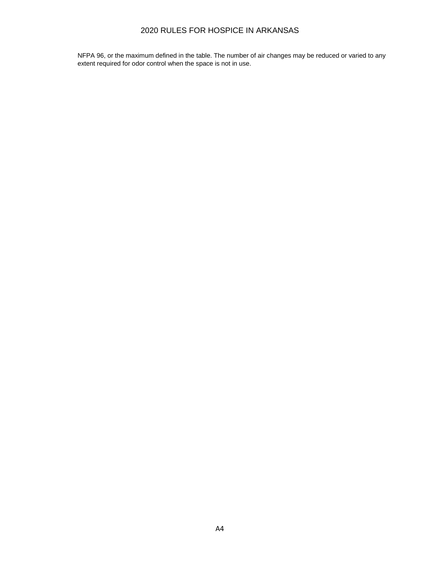NFPA 96, or the maximum defined in the table. The number of air changes may be reduced or varied to any extent required for odor control when the space is not in use.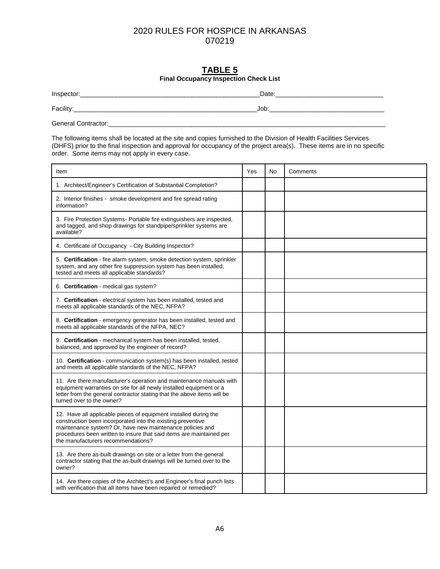#### **TABLE 5 Final Occupancy Inspection Check List**

Inspector:\_\_\_\_\_\_\_\_\_\_\_\_\_\_\_\_\_\_\_\_\_\_\_\_\_\_\_\_\_\_\_\_\_\_\_\_\_\_\_\_\_\_\_\_\_\_\_\_\_\_Date:\_\_\_\_\_\_\_\_\_\_\_\_\_\_\_\_\_\_\_\_\_\_\_\_\_\_\_\_\_\_

Facility:\_\_\_\_\_\_\_\_\_\_\_\_\_\_\_\_\_\_\_\_\_\_\_\_\_\_\_\_\_\_\_\_\_\_\_\_\_\_\_\_\_\_\_\_\_\_\_\_\_\_\_Job:\_\_\_\_\_\_\_\_\_\_\_\_\_\_\_\_\_\_\_\_\_\_\_\_\_\_\_\_\_\_\_\_

General Contractor:\_\_\_\_\_\_\_\_\_\_\_\_\_\_\_\_\_\_\_\_\_\_\_\_\_\_\_\_\_\_\_\_\_\_\_\_\_\_\_\_\_\_\_\_\_\_\_\_\_\_\_\_\_\_\_\_\_\_\_\_\_\_\_\_\_\_\_\_\_\_\_\_\_\_\_\_\_

The following items shall be located at the site and copies furnished to the Division of Health Facilities Services (DHFS) prior to the final inspection and approval for occupancy of the project area(s). These items are in no specific order. Some items may not apply in every case.

| Item                                                                                                                                                                                                                                                                                                       | Yes | No | Comments |
|------------------------------------------------------------------------------------------------------------------------------------------------------------------------------------------------------------------------------------------------------------------------------------------------------------|-----|----|----------|
| 1. Architect/Engineer's Certification of Substantial Completion?                                                                                                                                                                                                                                           |     |    |          |
| 2. Interior finishes - smoke development and fire spread rating<br>information?                                                                                                                                                                                                                            |     |    |          |
| 3. Fire Protection Systems- Portable fire extinguishers are inspected,<br>and tagged, and shop drawings for standpipe/sprinkler systems are<br>available?                                                                                                                                                  |     |    |          |
| 4. Certificate of Occupancy - City Building Inspector?                                                                                                                                                                                                                                                     |     |    |          |
| 5. Certification - fire alarm system, smoke detection system, sprinkler<br>system, and any other fire suppression system has been installed,<br>tested and meets all applicable standards?                                                                                                                 |     |    |          |
| 6. Certification - medical gas system?                                                                                                                                                                                                                                                                     |     |    |          |
| 7. Certification - electrical system has been installed, tested and<br>meets all applicable standards of the NEC, NFPA?                                                                                                                                                                                    |     |    |          |
| 8. Certification - emergency generator has been installed, tested and<br>meets all applicable standards of the NFPA, NEC?                                                                                                                                                                                  |     |    |          |
| 9. Certification - mechanical system has been installed, tested,<br>balanced, and approved by the engineer of record?                                                                                                                                                                                      |     |    |          |
| 10. Certification - communication system(s) has been installed, tested<br>and meets all applicable standards of the NEC, NFPA?                                                                                                                                                                             |     |    |          |
| 11. Are there manufacturer's operation and maintenance manuals with<br>equipment warranties on site for all newly installed equipment or a<br>letter from the general contractor stating that the above items will be<br>turned over to the owner?                                                         |     |    |          |
| 12. Have all applicable pieces of equipment installed during the<br>construction been incorporated into the existing preventive<br>maintenance system? Or, have new maintenance policies and<br>procedures been written to insure that said items are maintained per<br>the manufacturers recommendations? |     |    |          |
| 13. Are there as-built drawings on site or a letter from the general<br>contractor stating that the as-built drawings will be turned over to the<br>owner?                                                                                                                                                 |     |    |          |
| 14. Are there copies of the Architect's and Engineer's final punch lists<br>with verification that all items have been repaired or remedied?                                                                                                                                                               |     |    |          |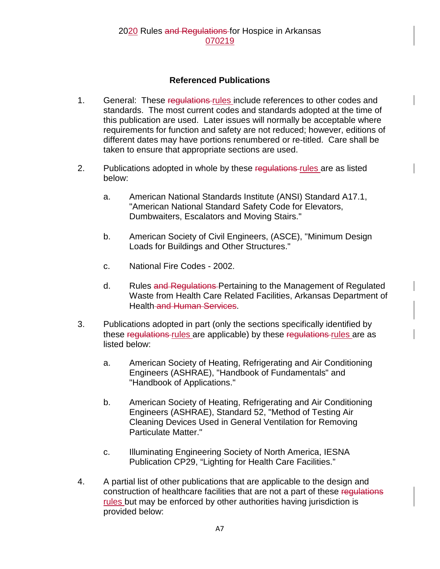## **Referenced Publications**

- 1. General: These regulations-rules include references to other codes and standards. The most current codes and standards adopted at the time of this publication are used. Later issues will normally be acceptable where requirements for function and safety are not reduced; however, editions of different dates may have portions renumbered or re-titled. Care shall be taken to ensure that appropriate sections are used.
- 2. Publications adopted in whole by these regulations rules are as listed below:
	- a. American National Standards Institute (ANSI) Standard A17.1, "American National Standard Safety Code for Elevators, Dumbwaiters, Escalators and Moving Stairs."
	- b. American Society of Civil Engineers, (ASCE), "Minimum Design Loads for Buildings and Other Structures."
	- c. National Fire Codes 2002.
	- d. Rules and Regulations Pertaining to the Management of Regulated Waste from Health Care Related Facilities, Arkansas Department of Health and Human Services.
- 3. Publications adopted in part (only the sections specifically identified by these regulations rules are applicable) by these regulations rules are as listed below:
	- a. American Society of Heating, Refrigerating and Air Conditioning Engineers (ASHRAE), "Handbook of Fundamentals" and "Handbook of Applications."
	- b. American Society of Heating, Refrigerating and Air Conditioning Engineers (ASHRAE), Standard 52, "Method of Testing Air Cleaning Devices Used in General Ventilation for Removing Particulate Matter."
	- c. Illuminating Engineering Society of North America, IESNA Publication CP29, "Lighting for Health Care Facilities."
- 4. A partial list of other publications that are applicable to the design and construction of healthcare facilities that are not a part of these regulations rules but may be enforced by other authorities having jurisdiction is provided below: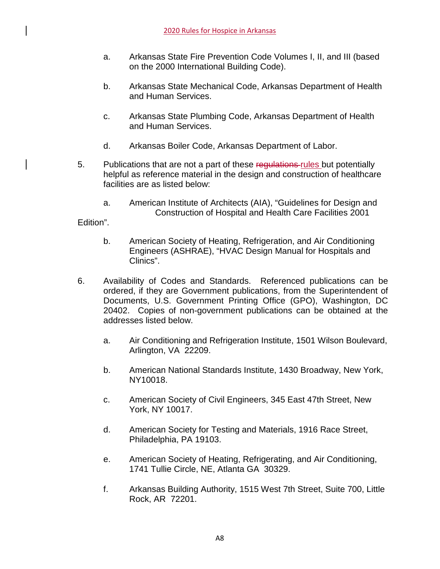- a. Arkansas State Fire Prevention Code Volumes I, II, and III (based on the 2000 International Building Code).
- b. Arkansas State Mechanical Code, Arkansas Department of Health and Human Services.
- c. Arkansas State Plumbing Code, Arkansas Department of Health and Human Services.
- d. Arkansas Boiler Code, Arkansas Department of Labor.
- 5. Publications that are not a part of these regulations-rules but potentially helpful as reference material in the design and construction of healthcare facilities are as listed below:
	- a. American Institute of Architects (AIA), "Guidelines for Design and Construction of Hospital and Health Care Facilities 2001

Edition".

- b. American Society of Heating, Refrigeration, and Air Conditioning Engineers (ASHRAE), "HVAC Design Manual for Hospitals and Clinics".
- 6. Availability of Codes and Standards. Referenced publications can be ordered, if they are Government publications, from the Superintendent of Documents, U.S. Government Printing Office (GPO), Washington, DC 20402. Copies of non-government publications can be obtained at the addresses listed below.
	- a. Air Conditioning and Refrigeration Institute, 1501 Wilson Boulevard, Arlington, VA 22209.
	- b. American National Standards Institute, 1430 Broadway, New York, NY10018.
	- c. American Society of Civil Engineers, 345 East 47th Street, New York, NY 10017.
	- d. American Society for Testing and Materials, 1916 Race Street, Philadelphia, PA 19103.
	- e. American Society of Heating, Refrigerating, and Air Conditioning, 1741 Tullie Circle, NE, Atlanta GA 30329.
	- f. Arkansas Building Authority, 1515 West 7th Street, Suite 700, Little Rock, AR 72201.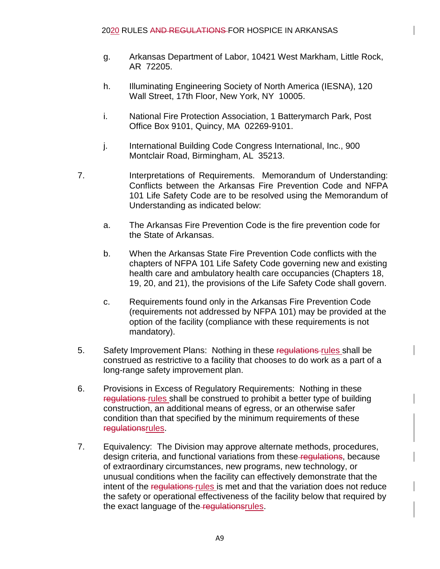- g. Arkansas Department of Labor, 10421 West Markham, Little Rock, AR 72205.
- h. Illuminating Engineering Society of North America (IESNA), 120 Wall Street, 17th Floor, New York, NY 10005.
- i. National Fire Protection Association, 1 Batterymarch Park, Post Office Box 9101, Quincy, MA 02269-9101.
- j. International Building Code Congress International, Inc., 900 Montclair Road, Birmingham, AL 35213.
- 7. Interpretations of Requirements. Memorandum of Understanding: Conflicts between the Arkansas Fire Prevention Code and NFPA 101 Life Safety Code are to be resolved using the Memorandum of Understanding as indicated below:
	- a. The Arkansas Fire Prevention Code is the fire prevention code for the State of Arkansas.
	- b. When the Arkansas State Fire Prevention Code conflicts with the chapters of NFPA 101 Life Safety Code governing new and existing health care and ambulatory health care occupancies (Chapters 18, 19, 20, and 21), the provisions of the Life Safety Code shall govern.
	- c. Requirements found only in the Arkansas Fire Prevention Code (requirements not addressed by NFPA 101) may be provided at the option of the facility (compliance with these requirements is not mandatory).
- 5. Safety Improvement Plans: Nothing in these regulations-rules shall be construed as restrictive to a facility that chooses to do work as a part of a long-range safety improvement plan.
- 6. Provisions in Excess of Regulatory Requirements: Nothing in these regulations rules shall be construed to prohibit a better type of building construction, an additional means of egress, or an otherwise safer condition than that specified by the minimum requirements of these regulationsrules.
- 7. Equivalency: The Division may approve alternate methods, procedures, design criteria, and functional variations from these-regulations, because of extraordinary circumstances, new programs, new technology, or unusual conditions when the facility can effectively demonstrate that the intent of the regulations-rules is met and that the variation does not reduce the safety or operational effectiveness of the facility below that required by the exact language of the regulationsrules.